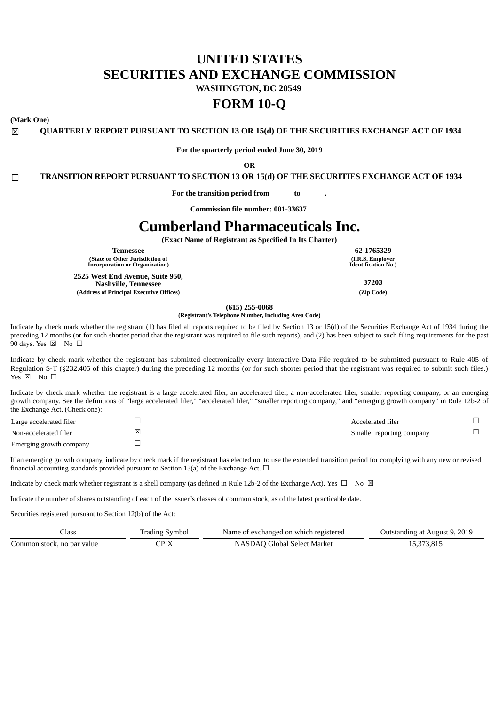# **UNITED STATES SECURITIES AND EXCHANGE COMMISSION**

**WASHINGTON, DC 20549**

# **FORM 10-Q**

**(Mark One)**

☒ **QUARTERLY REPORT PURSUANT TO SECTION 13 OR 15(d) OF THE SECURITIES EXCHANGE ACT OF 1934**

**For the quarterly period ended June 30, 2019**

**OR**

☐ **TRANSITION REPORT PURSUANT TO SECTION 13 OR 15(d) OF THE SECURITIES EXCHANGE ACT OF 1934**

**For the transition period from to .**

**Commission file number: 001-33637**

# **Cumberland Pharmaceuticals Inc.**

**(Exact Name of Registrant as Specified In Its Charter)**

**Tennessee 62-1765329**

**(State or Other Jurisdiction of Incorporation or Organization)**

**2525 West End Avenue, Suite 950, Nashville, Tennessee 37203 (Address of Principal Executive Offices) (Zip Code)**

**(I.R.S. Employer Identification No.)**

**(615) 255-0068**

**(Registrant's Telephone Number, Including Area Code)**

Indicate by check mark whether the registrant (1) has filed all reports required to be filed by Section 13 or 15(d) of the Securities Exchange Act of 1934 during the preceding 12 months (or for such shorter period that the registrant was required to file such reports), and (2) has been subject to such filing requirements for the past 90 days. Yes  $\boxtimes$  No  $\square$ 

Indicate by check mark whether the registrant has submitted electronically every Interactive Data File required to be submitted pursuant to Rule 405 of Regulation S-T (§232.405 of this chapter) during the preceding 12 months (or for such shorter period that the registrant was required to submit such files.) Yes ⊠ No □

Indicate by check mark whether the registrant is a large accelerated filer, an accelerated filer, a non-accelerated filer, smaller reporting company, or an emerging growth company. See the definitions of "large accelerated filer," "accelerated filer," "smaller reporting company," and "emerging growth company" in Rule 12b-2 of the Exchange Act. (Check one):

| Large accelerated filer |   | Accelerated filer         |  |
|-------------------------|---|---------------------------|--|
| Non-accelerated filer   | ⊠ | Smaller reporting company |  |
| Emerging growth company |   |                           |  |

If an emerging growth company, indicate by check mark if the registrant has elected not to use the extended transition period for complying with any new or revised financial accounting standards provided pursuant to Section 13(a) of the Exchange Act.  $\Box$ 

Indicate by check mark whether registrant is a shell company (as defined in Rule 12b-2 of the Exchange Act). Yes  $\Box$  No  $\boxtimes$ 

Indicate the number of shares outstanding of each of the issuer's classes of common stock, as of the latest practicable date.

Securities registered pursuant to Section 12(b) of the Act:

| Llass                      | <b>Trading Symbol</b> | Name of exchanged on which registered | Outstanding at August 9, 2019 |
|----------------------------|-----------------------|---------------------------------------|-------------------------------|
| Common stock, no par value | PIX                   | NASDAO Global Select Market           | 15.373.815                    |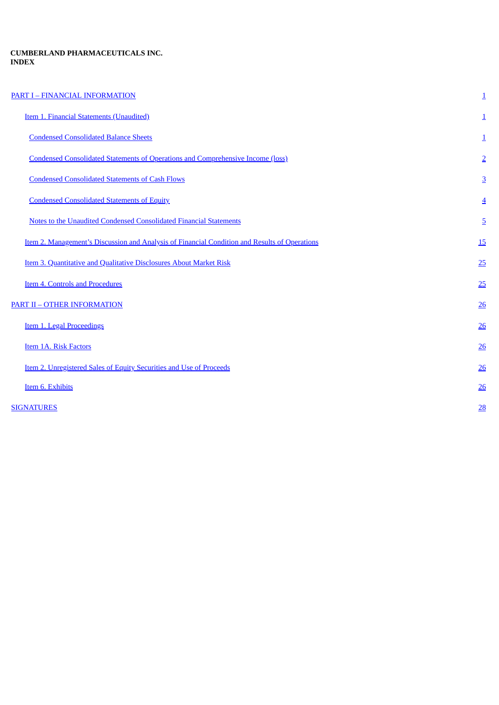# **CUMBERLAND PHARMACEUTICALS INC. INDEX**

<span id="page-1-0"></span>

| <b>PART I - FINANCIAL INFORMATION</b>                                                         | $\overline{1}$           |
|-----------------------------------------------------------------------------------------------|--------------------------|
| <b>Item 1. Financial Statements (Unaudited)</b>                                               | $\overline{1}$           |
| <b>Condensed Consolidated Balance Sheets</b>                                                  | $\mathbf{\underline{1}}$ |
| <b>Condensed Consolidated Statements of Operations and Comprehensive Income (loss)</b>        | $\overline{2}$           |
| <b>Condensed Consolidated Statements of Cash Flows</b>                                        | $\overline{3}$           |
| <b>Condensed Consolidated Statements of Equity</b>                                            | $\overline{\mathbf{4}}$  |
| <b>Notes to the Unaudited Condensed Consolidated Financial Statements</b>                     | $\overline{5}$           |
| Item 2. Management's Discussion and Analysis of Financial Condition and Results of Operations | 15                       |
| <b>Item 3. Quantitative and Qualitative Disclosures About Market Risk</b>                     | 25                       |
| <b>Item 4. Controls and Procedures</b>                                                        | 25                       |
| <b>PART II - OTHER INFORMATION</b>                                                            | 26                       |
| <b>Item 1. Legal Proceedings</b>                                                              | 26                       |
| <b>Item 1A. Risk Factors</b>                                                                  | $\overline{26}$          |
| Item 2. Unregistered Sales of Equity Securities and Use of Proceeds                           | 26                       |
| Item 6. Exhibits                                                                              | 26                       |
| <b>SIGNATURES</b>                                                                             | 28                       |
|                                                                                               |                          |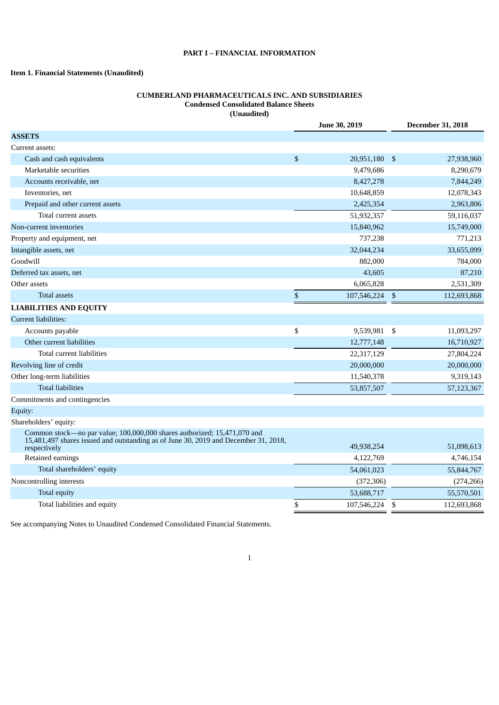# **PART I – FINANCIAL INFORMATION**

# <span id="page-2-1"></span><span id="page-2-0"></span>**Item 1. Financial Statements (Unaudited)**

# **CUMBERLAND PHARMACEUTICALS INC. AND SUBSIDIARIES Condensed Consolidated Balance Sheets (Unaudited)**

|                                                                                                                                                                                 | June 30, 2019 |               |    | <b>December 31, 2018</b> |  |  |
|---------------------------------------------------------------------------------------------------------------------------------------------------------------------------------|---------------|---------------|----|--------------------------|--|--|
| <b>ASSETS</b>                                                                                                                                                                   |               |               |    |                          |  |  |
| Current assets:                                                                                                                                                                 |               |               |    |                          |  |  |
| Cash and cash equivalents                                                                                                                                                       | \$            | 20,951,180 \$ |    | 27,938,960               |  |  |
| Marketable securities                                                                                                                                                           |               | 9,479,686     |    | 8,290,679                |  |  |
| Accounts receivable, net                                                                                                                                                        |               | 8,427,278     |    | 7,844,249                |  |  |
| Inventories, net                                                                                                                                                                |               | 10,648,859    |    | 12,078,343               |  |  |
| Prepaid and other current assets                                                                                                                                                |               | 2,425,354     |    | 2,963,806                |  |  |
| Total current assets                                                                                                                                                            |               | 51,932,357    |    | 59,116,037               |  |  |
| Non-current inventories                                                                                                                                                         |               | 15,840,962    |    | 15,749,000               |  |  |
| Property and equipment, net                                                                                                                                                     |               | 737,238       |    | 771,213                  |  |  |
| Intangible assets, net                                                                                                                                                          |               | 32,044,234    |    | 33,655,099               |  |  |
| Goodwill                                                                                                                                                                        |               | 882,000       |    | 784,000                  |  |  |
| Deferred tax assets, net                                                                                                                                                        |               | 43,605        |    | 87,210                   |  |  |
| Other assets                                                                                                                                                                    |               | 6,065,828     |    | 2,531,309                |  |  |
| <b>Total assets</b>                                                                                                                                                             | \$            | 107,546,224   | \$ | 112,693,868              |  |  |
| <b>LIABILITIES AND EQUITY</b>                                                                                                                                                   |               |               |    |                          |  |  |
| <b>Current liabilities:</b>                                                                                                                                                     |               |               |    |                          |  |  |
| Accounts payable                                                                                                                                                                | \$            | 9,539,981     | \$ | 11,093,297               |  |  |
| Other current liabilities                                                                                                                                                       |               | 12,777,148    |    | 16,710,927               |  |  |
| Total current liabilities                                                                                                                                                       |               | 22,317,129    |    | 27,804,224               |  |  |
| Revolving line of credit                                                                                                                                                        |               | 20,000,000    |    | 20,000,000               |  |  |
| Other long-term liabilities                                                                                                                                                     |               | 11,540,378    |    | 9,319,143                |  |  |
| <b>Total liabilities</b>                                                                                                                                                        |               | 53,857,507    |    | 57,123,367               |  |  |
| Commitments and contingencies                                                                                                                                                   |               |               |    |                          |  |  |
| Equity:                                                                                                                                                                         |               |               |    |                          |  |  |
| Shareholders' equity:                                                                                                                                                           |               |               |    |                          |  |  |
| Common stock-no par value; 100,000,000 shares authorized; 15,471,070 and<br>15,481,497 shares issued and outstanding as of June 30, 2019 and December 31, 2018,<br>respectively |               | 49,938,254    |    | 51,098,613               |  |  |
| Retained earnings                                                                                                                                                               |               | 4,122,769     |    | 4,746,154                |  |  |
| Total shareholders' equity                                                                                                                                                      |               | 54,061,023    |    | 55,844,767               |  |  |
| Noncontrolling interests                                                                                                                                                        |               | (372, 306)    |    | (274, 266)               |  |  |
| Total equity                                                                                                                                                                    |               | 53,688,717    |    | 55,570,501               |  |  |
| Total liabilities and equity                                                                                                                                                    | \$            | 107,546,224   | \$ | 112,693,868              |  |  |

<span id="page-2-2"></span>See accompanying Notes to Unaudited Condensed Consolidated Financial Statements.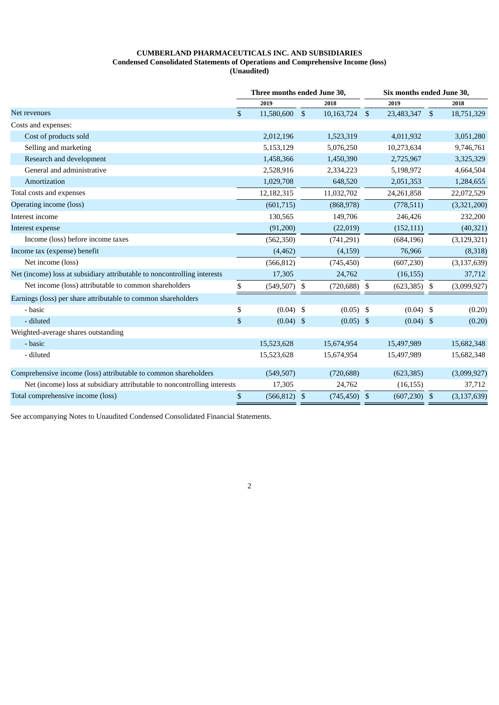## **CUMBERLAND PHARMACEUTICALS INC. AND SUBSIDIARIES Condensed Consolidated Statements of Operations and Comprehensive Income (loss) (Unaudited)**

|                                                                          | Three months ended June 30, |                           |                 | Six months ended June 30, |                 |               |  |
|--------------------------------------------------------------------------|-----------------------------|---------------------------|-----------------|---------------------------|-----------------|---------------|--|
|                                                                          | 2019                        |                           | 2018            |                           | 2019            | 2018          |  |
| Net revenues                                                             | \$<br>11,580,600 \$         |                           | 10,163,724 \$   |                           | 23,483,347 \$   | 18,751,329    |  |
| Costs and expenses:                                                      |                             |                           |                 |                           |                 |               |  |
| Cost of products sold                                                    | 2,012,196                   |                           | 1,523,319       |                           | 4,011,932       | 3,051,280     |  |
| Selling and marketing                                                    | 5,153,129                   |                           | 5,076,250       |                           | 10,273,634      | 9,746,761     |  |
| Research and development                                                 | 1,458,366                   |                           | 1,450,390       |                           | 2,725,967       | 3,325,329     |  |
| General and administrative                                               | 2,528,916                   |                           | 2,334,223       |                           | 5,198,972       | 4,664,504     |  |
| Amortization                                                             | 1,029,708                   |                           | 648,520         |                           | 2,051,353       | 1,284,655     |  |
| Total costs and expenses                                                 | 12,182,315                  |                           | 11,032,702      |                           | 24,261,858      | 22,072,529    |  |
| Operating income (loss)                                                  | (601, 715)                  |                           | (868, 978)      |                           | (778, 511)      | (3,321,200)   |  |
| Interest income                                                          | 130,565                     |                           | 149,706         |                           | 246,426         | 232,200       |  |
| Interest expense                                                         | (91,200)                    |                           | (22,019)        |                           | (152, 111)      | (40, 321)     |  |
| Income (loss) before income taxes                                        | (562, 350)                  |                           | (741, 291)      |                           | (684, 196)      | (3, 129, 321) |  |
| Income tax (expense) benefit                                             | (4, 462)                    |                           | (4, 159)        |                           | 76,966          | (8,318)       |  |
| Net income (loss)                                                        | (566, 812)                  |                           | (745, 450)      |                           | (607, 230)      | (3, 137, 639) |  |
| Net (income) loss at subsidiary attributable to noncontrolling interests | 17,305                      |                           | 24,762          |                           | (16, 155)       | 37,712        |  |
| Net income (loss) attributable to common shareholders                    | \$<br>(549, 507)            | $\boldsymbol{\mathsf{S}}$ | $(720, 688)$ \$ |                           | $(623, 385)$ \$ | (3,099,927)   |  |
| Earnings (loss) per share attributable to common shareholders            |                             |                           |                 |                           |                 |               |  |
| - basic                                                                  | \$<br>$(0.04)$ \$           |                           | $(0.05)$ \$     |                           | $(0.04)$ \$     | (0.20)        |  |
| - diluted                                                                | \$<br>$(0.04)$ \$           |                           | $(0.05)$ \$     |                           | $(0.04)$ \$     | (0.20)        |  |
| Weighted-average shares outstanding                                      |                             |                           |                 |                           |                 |               |  |
| - basic                                                                  | 15,523,628                  |                           | 15,674,954      |                           | 15,497,989      | 15,682,348    |  |
| - diluted                                                                | 15,523,628                  |                           | 15,674,954      |                           | 15,497,989      | 15,682,348    |  |
| Comprehensive income (loss) attributable to common shareholders          | (549, 507)                  |                           | (720, 688)      |                           | (623, 385)      | (3,099,927)   |  |
| Net (income) loss at subsidiary attributable to noncontrolling interests | 17,305                      |                           | 24,762          |                           | (16, 155)       | 37,712        |  |
| Total comprehensive income (loss)                                        | \$<br>(566, 812)            | $\mathfrak{s}$            | $(745, 450)$ \$ |                           | $(607, 230)$ \$ | (3, 137, 639) |  |

2

<span id="page-3-0"></span>See accompanying Notes to Unaudited Condensed Consolidated Financial Statements.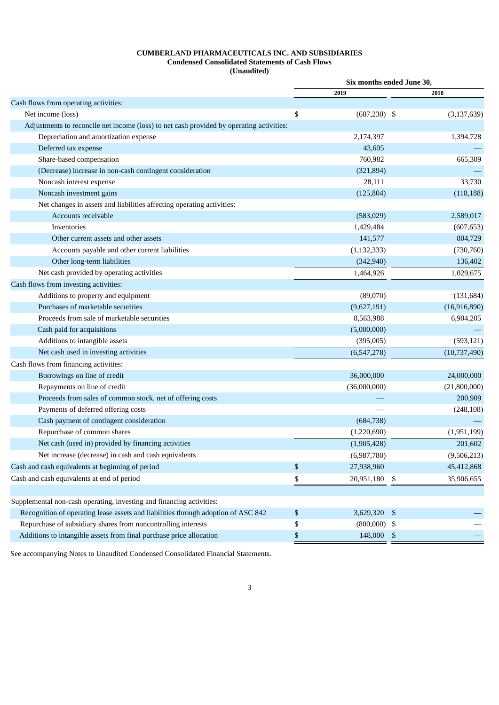# **CUMBERLAND PHARMACEUTICALS INC. AND SUBSIDIARIES Condensed Consolidated Statements of Cash Flows (Unaudited)**

|                                                                                          | Six months ended June 30, |                 |      |               |
|------------------------------------------------------------------------------------------|---------------------------|-----------------|------|---------------|
|                                                                                          |                           | 2019            | 2018 |               |
| Cash flows from operating activities:                                                    |                           |                 |      |               |
| Net income (loss)                                                                        | \$                        | $(607, 230)$ \$ |      | (3, 137, 639) |
| Adjustments to reconcile net income (loss) to net cash provided by operating activities: |                           |                 |      |               |
| Depreciation and amortization expense                                                    |                           | 2,174,397       |      | 1,394,728     |
| Deferred tax expense                                                                     |                           | 43,605          |      |               |
| Share-based compensation                                                                 |                           | 760,982         |      | 665,309       |
| (Decrease) increase in non-cash contingent consideration                                 |                           | (321, 894)      |      |               |
| Noncash interest expense                                                                 |                           | 28,111          |      | 33,730        |
| Noncash investment gains                                                                 |                           | (125, 804)      |      | (118, 188)    |
| Net changes in assets and liabilities affecting operating activities:                    |                           |                 |      |               |
| Accounts receivable                                                                      |                           | (583,029)       |      | 2,589,017     |
| Inventories                                                                              |                           | 1,429,484       |      | (607, 653)    |
| Other current assets and other assets                                                    |                           | 141,577         |      | 804,729       |
| Accounts payable and other current liabilities                                           |                           | (1, 132, 333)   |      | (730, 760)    |
| Other long-term liabilities                                                              |                           | (342, 940)      |      | 136,402       |
| Net cash provided by operating activities                                                |                           | 1,464,926       |      | 1,029,675     |
| Cash flows from investing activities:                                                    |                           |                 |      |               |
| Additions to property and equipment                                                      |                           | (89,070)        |      | (131, 684)    |
| Purchases of marketable securities                                                       |                           | (9,627,191)     |      | (16,916,890)  |
| Proceeds from sale of marketable securities                                              |                           | 8,563,988       |      | 6,904,205     |
| Cash paid for acquisitions                                                               |                           | (5,000,000)     |      |               |
| Additions to intangible assets                                                           |                           | (395,005)       |      | (593, 121)    |
| Net cash used in investing activities                                                    |                           | (6,547,278)     |      | (10,737,490)  |
| Cash flows from financing activities:                                                    |                           |                 |      |               |
| Borrowings on line of credit                                                             |                           | 36,000,000      |      | 24,000,000    |
| Repayments on line of credit                                                             |                           | (36,000,000)    |      | (21,800,000)  |
| Proceeds from sales of common stock, net of offering costs                               |                           |                 |      | 200,909       |
| Payments of deferred offering costs                                                      |                           |                 |      | (248, 108)    |
| Cash payment of contingent consideration                                                 |                           | (684, 738)      |      |               |
| Repurchase of common shares                                                              |                           | (1,220,690)     |      | (1,951,199)   |
| Net cash (used in) provided by financing activities                                      |                           | (1,905,428)     |      | 201,602       |
| Net increase (decrease) in cash and cash equivalents                                     |                           | (6,987,780)     |      | (9,506,213)   |
| Cash and cash equivalents at beginning of period                                         | \$                        | 27,938,960      |      | 45,412,868    |
| Cash and cash equivalents at end of period                                               | \$                        | 20,951,180 \$   |      | 35,906,655    |
|                                                                                          |                           |                 |      |               |
| Supplemental non-cash operating, investing and financing activities:                     |                           |                 |      |               |
| Recognition of operating lease assets and liabilities through adoption of ASC 842        | $\boldsymbol{\$}$         | 3,629,320 \$    |      |               |
| Repurchase of subsidiary shares from noncontrolling interests                            | \$                        | $(800,000)$ \$  |      |               |
| Additions to intangible assets from final purchase price allocation                      | $\mathbb{S}$              | 148,000 \$      |      |               |

<span id="page-4-0"></span>See accompanying Notes to Unaudited Condensed Consolidated Financial Statements.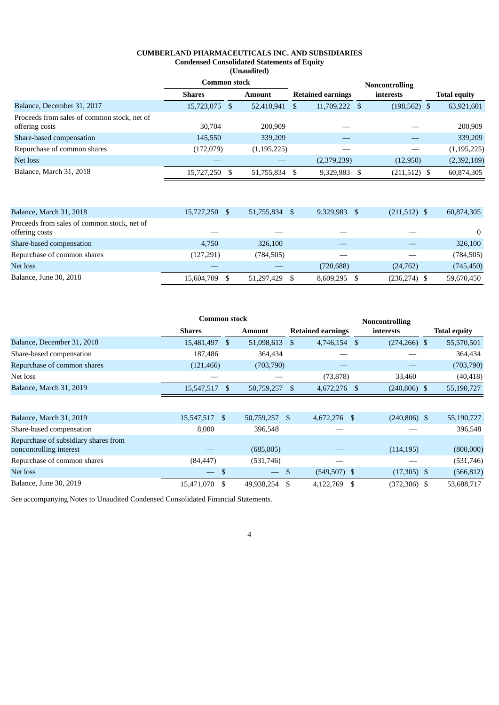## **CUMBERLAND PHARMACEUTICALS INC. AND SUBSIDIARIES Condensed Consolidated Statements of Equity (Unaudited)**

|                                                               | <b>Common stock</b> |    |               |                          |                 |  |                     |
|---------------------------------------------------------------|---------------------|----|---------------|--------------------------|-----------------|--|---------------------|
|                                                               | <b>Shares</b>       |    | <b>Amount</b> | <b>Retained earnings</b> | interests       |  | <b>Total equity</b> |
| Balance, December 31, 2017                                    | 15,723,075          | -S | 52,410,941    | 11,709,222 \$            | $(198, 562)$ \$ |  | 63,921,601          |
| Proceeds from sales of common stock, net of<br>offering costs | 30,704              |    | 200,909       |                          |                 |  | 200,909             |
| Share-based compensation                                      | 145,550             |    | 339,209       |                          |                 |  | 339,209             |
| Repurchase of common shares                                   | (172, 079)          |    | (1, 195, 225) |                          |                 |  | (1, 195, 225)       |
| Net loss                                                      |                     |    |               | (2,379,239)              | (12,950)        |  | (2,392,189)         |
| Balance, March 31, 2018                                       | 15,727,250          |    | 51,755,834 \$ | 9,329,983 \$             | $(211,512)$ \$  |  | 60,874,305          |

| Balance, March 31, 2018                                       | 15,727,250 | 51,755,834 | 9,329,983 \$         | $(211,512)$ \$  | 60,874,305 |
|---------------------------------------------------------------|------------|------------|----------------------|-----------------|------------|
| Proceeds from sales of common stock, net of<br>offering costs |            |            |                      |                 | $\Omega$   |
| Share-based compensation                                      | 4,750      | 326,100    |                      |                 | 326,100    |
| Repurchase of common shares                                   | (127, 291) | (784, 505) |                      |                 | (784, 505) |
| Net loss                                                      |            |            | (720, 688)           | (24,762)        | (745, 450) |
| Balance, June 30, 2018                                        | 15,604,709 | 51,297,429 | 8,609,295 \$<br>- \$ | $(236, 274)$ \$ | 59,670,450 |

|                                                                 | <b>Common stock</b> |      |                 |                |                          | <b>Noncontrolling</b> |                 |                     |
|-----------------------------------------------------------------|---------------------|------|-----------------|----------------|--------------------------|-----------------------|-----------------|---------------------|
|                                                                 | <b>Shares</b>       |      | <b>Amount</b>   |                | <b>Retained earnings</b> |                       | interests       | <b>Total equity</b> |
| Balance, December 31, 2018                                      | 15,481,497          | - \$ | 51,098,613      | -\$            | 4,746,154 \$             |                       | $(274, 266)$ \$ | 55,570,501          |
| Share-based compensation                                        | 187,486             |      | 364,434         |                |                          |                       |                 | 364,434             |
| Repurchase of common shares                                     | (121, 466)          |      | (703,790)       |                |                          |                       |                 | (703,790)           |
| Net loss                                                        |                     |      |                 |                | (73, 878)                |                       | 33,460          | (40, 418)           |
| Balance, March 31, 2019                                         | 15,547,517 \$       |      | 50,759,257      | \$             | 4,672,276 \$             |                       | $(240, 806)$ \$ | 55,190,727          |
|                                                                 |                     |      |                 |                |                          |                       |                 |                     |
| Balance, March 31, 2019                                         | 15,547,517 \$       |      | $50,759,257$ \$ |                | 4,672,276 \$             |                       | $(240, 806)$ \$ | 55,190,727          |
| Share-based compensation                                        | 8,000               |      | 396,548         |                |                          |                       |                 | 396,548             |
| Repurchase of subsidiary shares from<br>noncontrolling interest |                     |      | (685, 805)      |                |                          |                       | (114, 195)      | (800,000)           |
| Repurchase of common shares                                     | (84, 447)           |      | (531,746)       |                |                          |                       |                 | (531,746)           |
| Net loss                                                        |                     | \$   |                 | $\mathfrak{S}$ | $(549,507)$ \$           |                       | $(17,305)$ \$   | (566, 812)          |
| Balance, June 30, 2019                                          | 15,471,070          |      | 49,938,254      | \$             | 4,122,769                | S                     | $(372,306)$ \$  | 53,688,717          |

<span id="page-5-0"></span>See accompanying Notes to Unaudited Condensed Consolidated Financial Statements.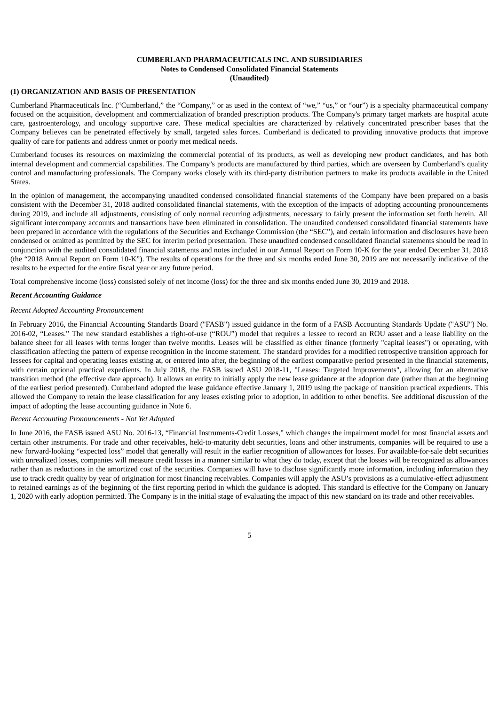## **CUMBERLAND PHARMACEUTICALS INC. AND SUBSIDIARIES Notes to Condensed Consolidated Financial Statements (Unaudited)**

## **(1) ORGANIZATION AND BASIS OF PRESENTATION**

Cumberland Pharmaceuticals Inc. ("Cumberland," the "Company," or as used in the context of "we," "us," or "our") is a specialty pharmaceutical company focused on the acquisition, development and commercialization of branded prescription products. The Company's primary target markets are hospital acute care, gastroenterology, and oncology supportive care. These medical specialties are characterized by relatively concentrated prescriber bases that the Company believes can be penetrated effectively by small, targeted sales forces. Cumberland is dedicated to providing innovative products that improve quality of care for patients and address unmet or poorly met medical needs.

Cumberland focuses its resources on maximizing the commercial potential of its products, as well as developing new product candidates, and has both internal development and commercial capabilities. The Company's products are manufactured by third parties, which are overseen by Cumberland's quality control and manufacturing professionals. The Company works closely with its third-party distribution partners to make its products available in the United **States** 

In the opinion of management, the accompanying unaudited condensed consolidated financial statements of the Company have been prepared on a basis consistent with the December 31, 2018 audited consolidated financial statements, with the exception of the impacts of adopting accounting pronouncements during 2019, and include all adjustments, consisting of only normal recurring adjustments, necessary to fairly present the information set forth herein. All significant intercompany accounts and transactions have been eliminated in consolidation. The unaudited condensed consolidated financial statements have been prepared in accordance with the regulations of the Securities and Exchange Commission (the "SEC"), and certain information and disclosures have been condensed or omitted as permitted by the SEC for interim period presentation. These unaudited condensed consolidated financial statements should be read in conjunction with the audited consolidated financial statements and notes included in our Annual Report on Form 10-K for the year ended December 31, 2018 (the "2018 Annual Report on Form 10-K"). The results of operations for the three and six months ended June 30, 2019 are not necessarily indicative of the results to be expected for the entire fiscal year or any future period.

Total comprehensive income (loss) consisted solely of net income (loss) for the three and six months ended June 30, 2019 and 2018.

#### *Recent Accounting Guidance*

## *Recent Adopted Accounting Pronouncement*

In February 2016, the Financial Accounting Standards Board ("FASB") issued guidance in the form of a FASB Accounting Standards Update ("ASU") No. 2016-02, "Leases." The new standard establishes a right-of-use ("ROU") model that requires a lessee to record an ROU asset and a lease liability on the balance sheet for all leases with terms longer than twelve months. Leases will be classified as either finance (formerly "capital leases") or operating, with classification affecting the pattern of expense recognition in the income statement. The standard provides for a modified retrospective transition approach for lessees for capital and operating leases existing at, or entered into after, the beginning of the earliest comparative period presented in the financial statements, with certain optional practical expedients. In July 2018, the FASB issued ASU 2018-11, "Leases: Targeted Improvements", allowing for an alternative transition method (the effective date approach). It allows an entity to initially apply the new lease guidance at the adoption date (rather than at the beginning of the earliest period presented). Cumberland adopted the lease guidance effective January 1, 2019 using the package of transition practical expedients. This allowed the Company to retain the lease classification for any leases existing prior to adoption, in addition to other benefits. See additional discussion of the impact of adopting the lease accounting guidance in Note 6.

#### *Recent Accounting Pronouncements - Not Yet Adopted*

In June 2016, the FASB issued ASU No. 2016-13, "Financial Instruments-Credit Losses," which changes the impairment model for most financial assets and certain other instruments. For trade and other receivables, held-to-maturity debt securities, loans and other instruments, companies will be required to use a new forward-looking "expected loss" model that generally will result in the earlier recognition of allowances for losses. For available-for-sale debt securities with unrealized losses, companies will measure credit losses in a manner similar to what they do today, except that the losses will be recognized as allowances rather than as reductions in the amortized cost of the securities. Companies will have to disclose significantly more information, including information they use to track credit quality by year of origination for most financing receivables. Companies will apply the ASU's provisions as a cumulative-effect adjustment to retained earnings as of the beginning of the first reporting period in which the guidance is adopted. This standard is effective for the Company on January 1, 2020 with early adoption permitted. The Company is in the initial stage of evaluating the impact of this new standard on its trade and other receivables.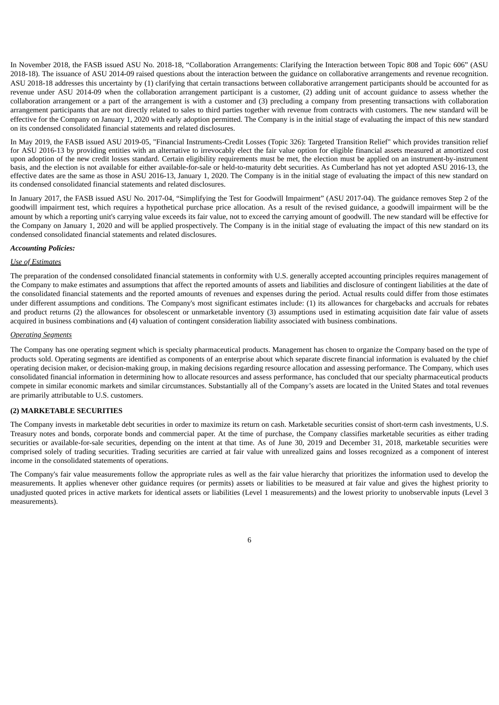In November 2018, the FASB issued ASU No. 2018-18, "Collaboration Arrangements: Clarifying the Interaction between Topic 808 and Topic 606" (ASU 2018-18). The issuance of ASU 2014-09 raised questions about the interaction between the guidance on collaborative arrangements and revenue recognition. ASU 2018-18 addresses this uncertainty by (1) clarifying that certain transactions between collaborative arrangement participants should be accounted for as revenue under ASU 2014-09 when the collaboration arrangement participant is a customer, (2) adding unit of account guidance to assess whether the collaboration arrangement or a part of the arrangement is with a customer and (3) precluding a company from presenting transactions with collaboration arrangement participants that are not directly related to sales to third parties together with revenue from contracts with customers. The new standard will be effective for the Company on January 1, 2020 with early adoption permitted. The Company is in the initial stage of evaluating the impact of this new standard on its condensed consolidated financial statements and related disclosures.

In May 2019, the FASB issued ASU 2019-05, "Financial Instruments-Credit Losses (Topic 326): Targeted Transition Relief" which provides transition relief for ASU 2016-13 by providing entities with an alternative to irrevocably elect the fair value option for eligible financial assets measured at amortized cost upon adoption of the new credit losses standard. Certain eligibility requirements must be met, the election must be applied on an instrument-by-instrument basis, and the election is not available for either available-for-sale or held-to-maturity debt securities. As Cumberland has not yet adopted ASU 2016-13, the effective dates are the same as those in ASU 2016-13, January 1, 2020. The Company is in the initial stage of evaluating the impact of this new standard on its condensed consolidated financial statements and related disclosures.

In January 2017, the FASB issued ASU No. 2017-04, "Simplifying the Test for Goodwill Impairment" (ASU 2017-04). The guidance removes Step 2 of the goodwill impairment test, which requires a hypothetical purchase price allocation. As a result of the revised guidance, a goodwill impairment will be the amount by which a reporting unit's carrying value exceeds its fair value, not to exceed the carrying amount of goodwill. The new standard will be effective for the Company on January 1, 2020 and will be applied prospectively. The Company is in the initial stage of evaluating the impact of this new standard on its condensed consolidated financial statements and related disclosures.

# *Accounting Policies:*

## *Use of Estimates*

The preparation of the condensed consolidated financial statements in conformity with U.S. generally accepted accounting principles requires management of the Company to make estimates and assumptions that affect the reported amounts of assets and liabilities and disclosure of contingent liabilities at the date of the consolidated financial statements and the reported amounts of revenues and expenses during the period. Actual results could differ from those estimates under different assumptions and conditions. The Company's most significant estimates include: (1) its allowances for chargebacks and accruals for rebates and product returns (2) the allowances for obsolescent or unmarketable inventory (3) assumptions used in estimating acquisition date fair value of assets acquired in business combinations and (4) valuation of contingent consideration liability associated with business combinations.

#### *Operating Segments*

The Company has one operating segment which is specialty pharmaceutical products. Management has chosen to organize the Company based on the type of products sold. Operating segments are identified as components of an enterprise about which separate discrete financial information is evaluated by the chief operating decision maker, or decision-making group, in making decisions regarding resource allocation and assessing performance. The Company, which uses consolidated financial information in determining how to allocate resources and assess performance, has concluded that our specialty pharmaceutical products compete in similar economic markets and similar circumstances. Substantially all of the Company's assets are located in the United States and total revenues are primarily attributable to U.S. customers.

## **(2) MARKETABLE SECURITIES**

The Company invests in marketable debt securities in order to maximize its return on cash. Marketable securities consist of short-term cash investments, U.S. Treasury notes and bonds, corporate bonds and commercial paper. At the time of purchase, the Company classifies marketable securities as either trading securities or available-for-sale securities, depending on the intent at that time. As of June 30, 2019 and December 31, 2018, marketable securities were comprised solely of trading securities. Trading securities are carried at fair value with unrealized gains and losses recognized as a component of interest income in the consolidated statements of operations.

The Company's fair value measurements follow the appropriate rules as well as the fair value hierarchy that prioritizes the information used to develop the measurements. It applies whenever other guidance requires (or permits) assets or liabilities to be measured at fair value and gives the highest priority to unadjusted quoted prices in active markets for identical assets or liabilities (Level 1 measurements) and the lowest priority to unobservable inputs (Level 3 measurements).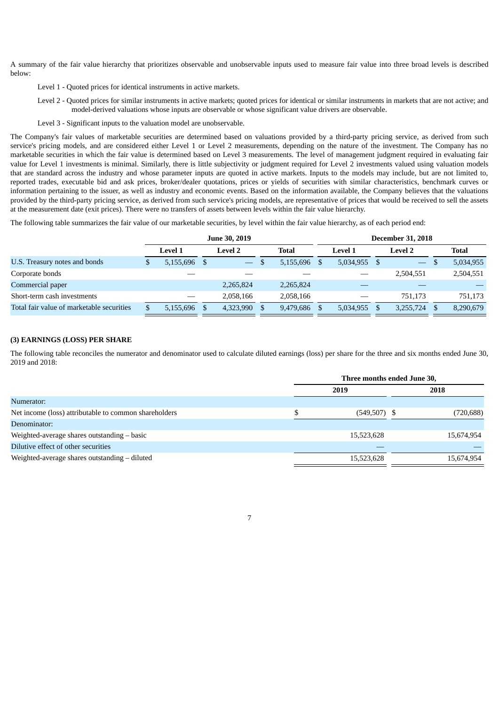A summary of the fair value hierarchy that prioritizes observable and unobservable inputs used to measure fair value into three broad levels is described below:

Level 1 - Quoted prices for identical instruments in active markets.

- Level 2 Quoted prices for similar instruments in active markets; quoted prices for identical or similar instruments in markets that are not active; and model-derived valuations whose inputs are observable or whose significant value drivers are observable.
- Level 3 Significant inputs to the valuation model are unobservable.

The Company's fair values of marketable securities are determined based on valuations provided by a third-party pricing service, as derived from such service's pricing models, and are considered either Level 1 or Level 2 measurements, depending on the nature of the investment. The Company has no marketable securities in which the fair value is determined based on Level 3 measurements. The level of management judgment required in evaluating fair value for Level 1 investments is minimal. Similarly, there is little subjectivity or judgment required for Level 2 investments valued using valuation models that are standard across the industry and whose parameter inputs are quoted in active markets. Inputs to the models may include, but are not limited to, reported trades, executable bid and ask prices, broker/dealer quotations, prices or yields of securities with similar characteristics, benchmark curves or information pertaining to the issuer, as well as industry and economic events. Based on the information available, the Company believes that the valuations provided by the third-party pricing service, as derived from such service's pricing models, are representative of prices that would be received to sell the assets at the measurement date (exit prices). There were no transfers of assets between levels within the fair value hierarchy.

The following table summarizes the fair value of our marketable securities, by level within the fair value hierarchy, as of each period end:

|                                           |                | <b>June 30, 2019</b> |                          |  |              | <b>December 31, 2018</b> |                |  |                          |  |           |  |
|-------------------------------------------|----------------|----------------------|--------------------------|--|--------------|--------------------------|----------------|--|--------------------------|--|-----------|--|
|                                           | <b>Level 1</b> |                      | <b>Level 2</b>           |  | <b>Total</b> |                          | <b>Level 1</b> |  | <b>Level 2</b>           |  | Total     |  |
| U.S. Treasury notes and bonds             | 5,155,696 \$   |                      | $\overline{\phantom{m}}$ |  | 5,155,696 \$ |                          | 5,034,955 \$   |  | $\overline{\phantom{a}}$ |  | 5,034,955 |  |
| Corporate bonds                           |                |                      |                          |  |              |                          |                |  | 2,504,551                |  | 2,504,551 |  |
| Commercial paper                          |                |                      | 2,265,824                |  | 2,265,824    |                          |                |  |                          |  |           |  |
| Short-term cash investments               |                |                      | 2,058,166                |  | 2,058,166    |                          |                |  | 751.173                  |  | 751,173   |  |
| Total fair value of marketable securities | 5,155,696      |                      | 4,323,990                |  | 9,479,686    |                          | 5,034,955      |  | 3,255,724                |  | 8,290,679 |  |

## **(3) EARNINGS (LOSS) PER SHARE**

The following table reconciles the numerator and denominator used to calculate diluted earnings (loss) per share for the three and six months ended June 30, 2019 and 2018:

|                                                       | Three months ended June 30, |            |  |  |  |  |
|-------------------------------------------------------|-----------------------------|------------|--|--|--|--|
|                                                       | 2019                        | 2018       |  |  |  |  |
| Numerator:                                            |                             |            |  |  |  |  |
| Net income (loss) attributable to common shareholders | $(549,507)$ \$              | (720, 688) |  |  |  |  |
| Denominator:                                          |                             |            |  |  |  |  |
| Weighted-average shares outstanding $-$ basic         | 15,523,628                  | 15,674,954 |  |  |  |  |
| Dilutive effect of other securities                   |                             |            |  |  |  |  |
| Weighted-average shares outstanding - diluted         | 15,523,628                  | 15,674,954 |  |  |  |  |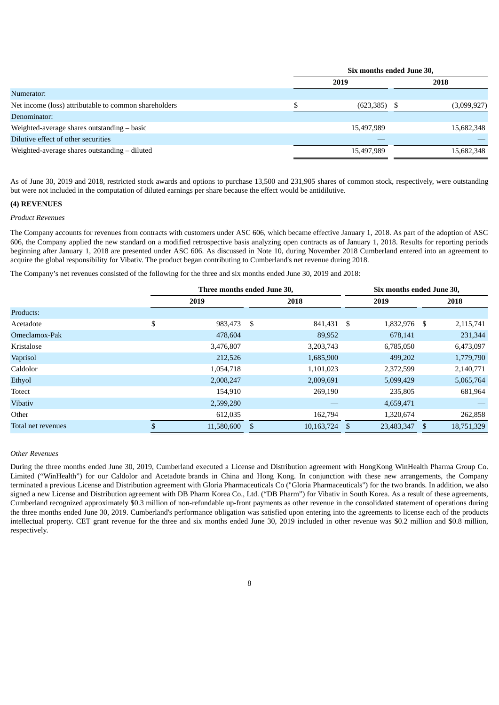|                                                       | Six months ended June 30, |            |  |             |  |
|-------------------------------------------------------|---------------------------|------------|--|-------------|--|
|                                                       |                           | 2019       |  | 2018        |  |
| Numerator:                                            |                           |            |  |             |  |
| Net income (loss) attributable to common shareholders |                           | (623, 385) |  | (3,099,927) |  |
| Denominator:                                          |                           |            |  |             |  |
| Weighted-average shares outstanding – basic           |                           | 15.497.989 |  | 15,682,348  |  |
| Dilutive effect of other securities                   |                           |            |  |             |  |
| Weighted-average shares outstanding - diluted         |                           | 15,497,989 |  | 15,682,348  |  |

As of June 30, 2019 and 2018, restricted stock awards and options to purchase 13,500 and 231,905 shares of common stock, respectively, were outstanding but were not included in the computation of diluted earnings per share because the effect would be antidilutive.

#### **(4) REVENUES**

#### *Product Revenues*

The Company accounts for revenues from contracts with customers under ASC 606, which became effective January 1, 2018. As part of the adoption of ASC 606, the Company applied the new standard on a modified retrospective basis analyzing open contracts as of January 1, 2018. Results for reporting periods beginning after January 1, 2018 are presented under ASC 606. As discussed in Note 10, during November 2018 Cumberland entered into an agreement to acquire the global responsibility for Vibativ. The product began contributing to Cumberland's net revenue during 2018.

The Company's net revenues consisted of the following for the three and six months ended June 30, 2019 and 2018:

|                    |                  | Three months ended June 30, | Six months ended June 30, |                   |
|--------------------|------------------|-----------------------------|---------------------------|-------------------|
|                    | 2019             | 2018                        | 2019                      | 2018              |
| Products:          |                  |                             |                           |                   |
| Acetadote          | \$<br>983,473 \$ | 841,431 \$                  | 1,832,976 \$              | 2,115,741         |
| Omeclamox-Pak      | 478,604          | 89,952                      | 678,141                   | 231,344           |
| Kristalose         | 3,476,807        | 3,203,743                   | 6,785,050                 | 6,473,097         |
| Vaprisol           | 212,526          | 1,685,900                   | 499,202                   | 1,779,790         |
| Caldolor           | 1,054,718        | 1,101,023                   | 2,372,599                 | 2,140,771         |
| Ethyol             | 2,008,247        | 2,809,691                   | 5,099,429                 | 5,065,764         |
| Totect             | 154,910          | 269,190                     | 235,805                   | 681,964           |
| <b>Vibativ</b>     | 2,599,280        |                             | 4,659,471                 |                   |
| Other              | 612,035          | 162,794                     | 1,320,674                 | 262,858           |
| Total net revenues | \$<br>11,580,600 | - \$<br>10,163,724 \$       | 23,483,347                | 18,751,329<br>-\$ |

## *Other Revenues*

During the three months ended June 30, 2019, Cumberland executed a License and Distribution agreement with HongKong WinHealth Pharma Group Co. Limited ("WinHealth") for our Caldolor and Acetadote brands in China and Hong Kong. In conjunction with these new arrangements, the Company terminated a previous License and Distribution agreement with Gloria Pharmaceuticals Co ("Gloria Pharmaceuticals") for the two brands. In addition, we also signed a new License and Distribution agreement with DB Pharm Korea Co., Ltd. ("DB Pharm") for Vibativ in South Korea. As a result of these agreements, Cumberland recognized approximately \$0.3 million of non-refundable up-front payments as other revenue in the consolidated statement of operations during the three months ended June 30, 2019. Cumberland's performance obligation was satisfied upon entering into the agreements to license each of the products intellectual property. CET grant revenue for the three and six months ended June 30, 2019 included in other revenue was \$0.2 million and \$0.8 million, respectively.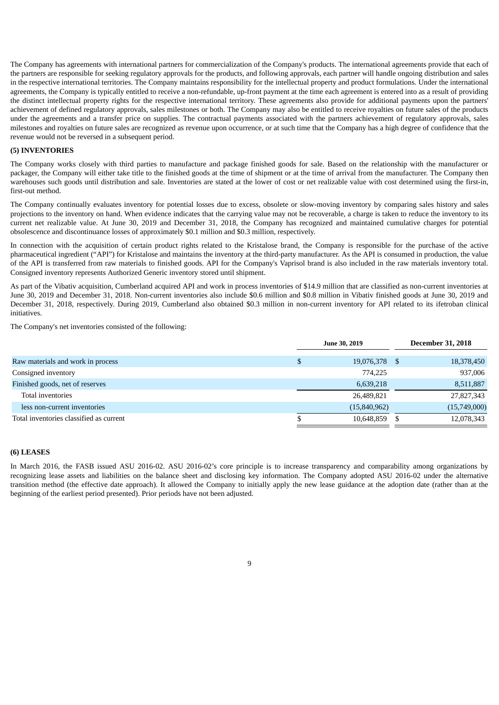The Company has agreements with international partners for commercialization of the Company's products. The international agreements provide that each of the partners are responsible for seeking regulatory approvals for the products, and following approvals, each partner will handle ongoing distribution and sales in the respective international territories. The Company maintains responsibility for the intellectual property and product formulations. Under the international agreements, the Company is typically entitled to receive a non-refundable, up-front payment at the time each agreement is entered into as a result of providing the distinct intellectual property rights for the respective international territory. These agreements also provide for additional payments upon the partners' achievement of defined regulatory approvals, sales milestones or both. The Company may also be entitled to receive royalties on future sales of the products under the agreements and a transfer price on supplies. The contractual payments associated with the partners achievement of regulatory approvals, sales milestones and royalties on future sales are recognized as revenue upon occurrence, or at such time that the Company has a high degree of confidence that the revenue would not be reversed in a subsequent period.

#### **(5) INVENTORIES**

The Company works closely with third parties to manufacture and package finished goods for sale. Based on the relationship with the manufacturer or packager, the Company will either take title to the finished goods at the time of shipment or at the time of arrival from the manufacturer. The Company then warehouses such goods until distribution and sale. Inventories are stated at the lower of cost or net realizable value with cost determined using the first-in, first-out method.

The Company continually evaluates inventory for potential losses due to excess, obsolete or slow-moving inventory by comparing sales history and sales projections to the inventory on hand. When evidence indicates that the carrying value may not be recoverable, a charge is taken to reduce the inventory to its current net realizable value. At June 30, 2019 and December 31, 2018, the Company has recognized and maintained cumulative charges for potential obsolescence and discontinuance losses of approximately \$0.1 million and \$0.3 million, respectively.

In connection with the acquisition of certain product rights related to the Kristalose brand, the Company is responsible for the purchase of the active pharmaceutical ingredient ("API") for Kristalose and maintains the inventory at the third-party manufacturer. As the API is consumed in production, the value of the API is transferred from raw materials to finished goods. API for the Company's Vaprisol brand is also included in the raw materials inventory total. Consigned inventory represents Authorized Generic inventory stored until shipment.

As part of the Vibativ acquisition, Cumberland acquired API and work in process inventories of \$14.9 million that are classified as non-current inventories at June 30, 2019 and December 31, 2018. Non-current inventories also include \$0.6 million and \$0.8 million in Vibativ finished goods at June 30, 2019 and December 31, 2018, respectively. During 2019, Cumberland also obtained \$0.3 million in non-current inventory for API related to its ifetroban clinical initiatives.

The Company's net inventories consisted of the following:

|                                         | <b>June 30, 2019</b> | <b>December 31, 2018</b> |
|-----------------------------------------|----------------------|--------------------------|
|                                         |                      |                          |
| Raw materials and work in process       | 19,076,378 \$        | 18,378,450               |
| Consigned inventory                     | 774.225              | 937,006                  |
| Finished goods, net of reserves         | 6,639,218            | 8,511,887                |
| Total inventories                       | 26,489,821           | 27,827,343               |
| less non-current inventories            | (15,840,962)         | (15,749,000)             |
| Total inventories classified as current | 10,648,859           | 12,078,343               |

## **(6) LEASES**

In March 2016, the FASB issued ASU 2016-02. ASU 2016-02's core principle is to increase transparency and comparability among organizations by recognizing lease assets and liabilities on the balance sheet and disclosing key information. The Company adopted ASU 2016-02 under the alternative transition method (the effective date approach). It allowed the Company to initially apply the new lease guidance at the adoption date (rather than at the beginning of the earliest period presented). Prior periods have not been adjusted.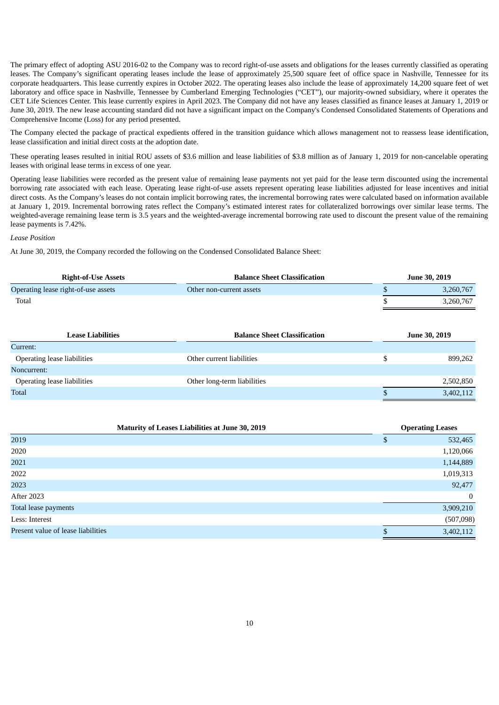The primary effect of adopting ASU 2016-02 to the Company was to record right-of-use assets and obligations for the leases currently classified as operating leases. The Company's significant operating leases include the lease of approximately 25,500 square feet of office space in Nashville, Tennessee for its corporate headquarters. This lease currently expires in October 2022. The operating leases also include the lease of approximately 14,200 square feet of wet laboratory and office space in Nashville, Tennessee by Cumberland Emerging Technologies ("CET"), our majority-owned subsidiary, where it operates the CET Life Sciences Center. This lease currently expires in April 2023. The Company did not have any leases classified as finance leases at January 1, 2019 or June 30, 2019. The new lease accounting standard did not have a significant impact on the Company's Condensed Consolidated Statements of Operations and Comprehensive Income (Loss) for any period presented.

The Company elected the package of practical expedients offered in the transition guidance which allows management not to reassess lease identification, lease classification and initial direct costs at the adoption date.

These operating leases resulted in initial ROU assets of \$3.6 million and lease liabilities of \$3.8 million as of January 1, 2019 for non-cancelable operating leases with original lease terms in excess of one year.

Operating lease liabilities were recorded as the present value of remaining lease payments not yet paid for the lease term discounted using the incremental borrowing rate associated with each lease. Operating lease right-of-use assets represent operating lease liabilities adjusted for lease incentives and initial direct costs. As the Company's leases do not contain implicit borrowing rates, the incremental borrowing rates were calculated based on information available at January 1, 2019. Incremental borrowing rates reflect the Company's estimated interest rates for collateralized borrowings over similar lease terms. The weighted-average remaining lease term is 3.5 years and the weighted-average incremental borrowing rate used to discount the present value of the remaining lease payments is 7.42%.

#### *Lease Position*

At June 30, 2019, the Company recorded the following on the Condensed Consolidated Balance Sheet:

| <b>Right-of-Use Assets</b>          | <b>Balance Sheet Classification</b> | <b>June 30, 2019</b> |           |
|-------------------------------------|-------------------------------------|----------------------|-----------|
| Operating lease right-of-use assets | Other non-current assets            |                      | 3,260,767 |
| Total                               |                                     |                      | 3.260.767 |

| <b>Lease Liabilities</b>    | <b>Balance Sheet Classification</b> |  | <b>June 30, 2019</b> |
|-----------------------------|-------------------------------------|--|----------------------|
| Current:                    |                                     |  |                      |
| Operating lease liabilities | Other current liabilities           |  | 899.262              |
| Noncurrent:                 |                                     |  |                      |
| Operating lease liabilities | Other long-term liabilities         |  | 2,502,850            |
| <b>Total</b>                |                                     |  | 3,402,112            |

| <b>Maturity of Leases Liabilities at June 30, 2019</b> | <b>Operating Leases</b> |
|--------------------------------------------------------|-------------------------|
| 2019                                                   | 532,465<br>D            |
| 2020                                                   | 1,120,066               |
| 2021                                                   | 1,144,889               |
| 2022                                                   | 1,019,313               |
| 2023                                                   | 92,477                  |
| <b>After 2023</b>                                      | $\Omega$                |
| Total lease payments                                   | 3,909,210               |
| Less: Interest                                         | (507,098)               |
| Present value of lease liabilities                     | 3,402,112               |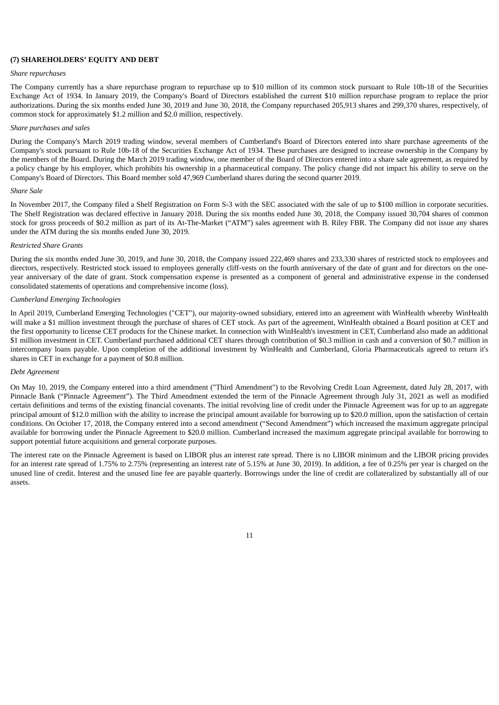# **(7) SHAREHOLDERS' EQUITY AND DEBT**

#### *Share repurchases*

The Company currently has a share repurchase program to repurchase up to \$10 million of its common stock pursuant to Rule 10b-18 of the Securities Exchange Act of 1934. In January 2019, the Company's Board of Directors established the current \$10 million repurchase program to replace the prior authorizations. During the six months ended June 30, 2019 and June 30, 2018, the Company repurchased 205,913 shares and 299,370 shares, respectively, of common stock for approximately \$1.2 million and \$2.0 million, respectively.

#### *Share purchases and sales*

During the Company's March 2019 trading window, several members of Cumberland's Board of Directors entered into share purchase agreements of the Company's stock pursuant to Rule 10b-18 of the Securities Exchange Act of 1934. These purchases are designed to increase ownership in the Company by the members of the Board. During the March 2019 trading window, one member of the Board of Directors entered into a share sale agreement, as required by a policy change by his employer, which prohibits his ownership in a pharmaceutical company. The policy change did not impact his ability to serve on the Company's Board of Directors. This Board member sold 47,969 Cumberland shares during the second quarter 2019.

#### *Share Sale*

In November 2017, the Company filed a Shelf Registration on Form S-3 with the SEC associated with the sale of up to \$100 million in corporate securities. The Shelf Registration was declared effective in January 2018. During the six months ended June 30, 2018, the Company issued 30,704 shares of common stock for gross proceeds of \$0.2 million as part of its At-The-Market ("ATM") sales agreement with B. Riley FBR. The Company did not issue any shares under the ATM during the six months ended June 30, 2019.

#### *Restricted Share Grants*

During the six months ended June 30, 2019, and June 30, 2018, the Company issued 222,469 shares and 233,330 shares of restricted stock to employees and directors, respectively. Restricted stock issued to employees generally cliff-vests on the fourth anniversary of the date of grant and for directors on the oneyear anniversary of the date of grant. Stock compensation expense is presented as a component of general and administrative expense in the condensed consolidated statements of operations and comprehensive income (loss).

## *Cumberland Emerging Technologies*

In April 2019, Cumberland Emerging Technologies ("CET"), our majority-owned subsidiary, entered into an agreement with WinHealth whereby WinHealth will make a \$1 million investment through the purchase of shares of CET stock. As part of the agreement, WinHealth obtained a Board position at CET and the first opportunity to license CET products for the Chinese market. In connection with WinHealth's investment in CET, Cumberland also made an additional \$1 million investment in CET. Cumberland purchased additional CET shares through contribution of \$0.3 million in cash and a conversion of \$0.7 million in intercompany loans payable. Upon completion of the additional investment by WinHealth and Cumberland, Gloria Pharmaceuticals agreed to return it's shares in CET in exchange for a payment of \$0.8 million.

#### *Debt Agreement*

On May 10, 2019, the Company entered into a third amendment ("Third Amendment") to the Revolving Credit Loan Agreement, dated July 28, 2017, with Pinnacle Bank ("Pinnacle Agreement"). The Third Amendment extended the term of the Pinnacle Agreement through July 31, 2021 as well as modified certain definitions and terms of the existing financial covenants. The initial revolving line of credit under the Pinnacle Agreement was for up to an aggregate principal amount of \$12.0 million with the ability to increase the principal amount available for borrowing up to \$20.0 million, upon the satisfaction of certain conditions. On October 17, 2018, the Company entered into a second amendment ("Second Amendment") which increased the maximum aggregate principal available for borrowing under the Pinnacle Agreement to \$20.0 million. Cumberland increased the maximum aggregate principal available for borrowing to support potential future acquisitions and general corporate purposes.

The interest rate on the Pinnacle Agreement is based on LIBOR plus an interest rate spread. There is no LIBOR minimum and the LIBOR pricing provides for an interest rate spread of 1.75% to 2.75% (representing an interest rate of 5.15% at June 30, 2019). In addition, a fee of 0.25% per year is charged on the unused line of credit. Interest and the unused line fee are payable quarterly. Borrowings under the line of credit are collateralized by substantially all of our assets.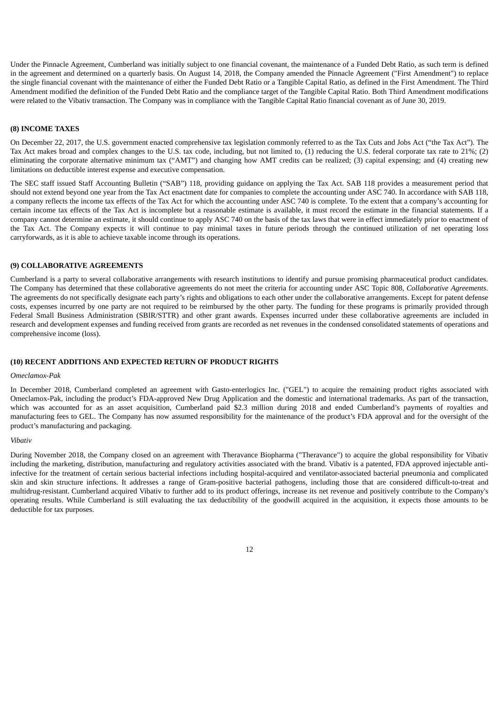Under the Pinnacle Agreement, Cumberland was initially subject to one financial covenant, the maintenance of a Funded Debt Ratio, as such term is defined in the agreement and determined on a quarterly basis. On August 14, 2018, the Company amended the Pinnacle Agreement ("First Amendment") to replace the single financial covenant with the maintenance of either the Funded Debt Ratio or a Tangible Capital Ratio, as defined in the First Amendment. The Third Amendment modified the definition of the Funded Debt Ratio and the compliance target of the Tangible Capital Ratio. Both Third Amendment modifications were related to the Vibativ transaction. The Company was in compliance with the Tangible Capital Ratio financial covenant as of June 30, 2019.

#### **(8) INCOME TAXES**

On December 22, 2017, the U.S. government enacted comprehensive tax legislation commonly referred to as the Tax Cuts and Jobs Act ("the Tax Act"). The Tax Act makes broad and complex changes to the U.S. tax code, including, but not limited to, (1) reducing the U.S. federal corporate tax rate to 21%; (2) eliminating the corporate alternative minimum tax ("AMT") and changing how AMT credits can be realized; (3) capital expensing; and (4) creating new limitations on deductible interest expense and executive compensation.

The SEC staff issued Staff Accounting Bulletin ("SAB") 118, providing guidance on applying the Tax Act. SAB 118 provides a measurement period that should not extend beyond one year from the Tax Act enactment date for companies to complete the accounting under ASC 740. In accordance with SAB 118, a company reflects the income tax effects of the Tax Act for which the accounting under ASC 740 is complete. To the extent that a company's accounting for certain income tax effects of the Tax Act is incomplete but a reasonable estimate is available, it must record the estimate in the financial statements. If a company cannot determine an estimate, it should continue to apply ASC 740 on the basis of the tax laws that were in effect immediately prior to enactment of the Tax Act. The Company expects it will continue to pay minimal taxes in future periods through the continued utilization of net operating loss carryforwards, as it is able to achieve taxable income through its operations.

#### **(9) COLLABORATIVE AGREEMENTS**

Cumberland is a party to several collaborative arrangements with research institutions to identify and pursue promising pharmaceutical product candidates. The Company has determined that these collaborative agreements do not meet the criteria for accounting under ASC Topic 808, *Collaborative Agreements*. The agreements do not specifically designate each party's rights and obligations to each other under the collaborative arrangements. Except for patent defense costs, expenses incurred by one party are not required to be reimbursed by the other party. The funding for these programs is primarily provided through Federal Small Business Administration (SBIR/STTR) and other grant awards. Expenses incurred under these collaborative agreements are included in research and development expenses and funding received from grants are recorded as net revenues in the condensed consolidated statements of operations and comprehensive income (loss).

## **(10) RECENT ADDITIONS AND EXPECTED RETURN OF PRODUCT RIGHTS**

#### *Omeclamox-Pak*

In December 2018, Cumberland completed an agreement with Gasto-enterlogics Inc. ("GEL") to acquire the remaining product rights associated with Omeclamox-Pak, including the product's FDA-approved New Drug Application and the domestic and international trademarks. As part of the transaction, which was accounted for as an asset acquisition, Cumberland paid \$2.3 million during 2018 and ended Cumberland's payments of royalties and manufacturing fees to GEL. The Company has now assumed responsibility for the maintenance of the product's FDA approval and for the oversight of the product's manufacturing and packaging.

#### *Vibativ*

During November 2018, the Company closed on an agreement with Theravance Biopharma ("Theravance") to acquire the global responsibility for Vibativ including the marketing, distribution, manufacturing and regulatory activities associated with the brand. Vibativ is a patented, FDA approved injectable antiinfective for the treatment of certain serious bacterial infections including hospital-acquired and ventilator-associated bacterial pneumonia and complicated skin and skin structure infections. It addresses a range of Gram-positive bacterial pathogens, including those that are considered difficult-to-treat and multidrug-resistant. Cumberland acquired Vibativ to further add to its product offerings, increase its net revenue and positively contribute to the Company's operating results. While Cumberland is still evaluating the tax deductibility of the goodwill acquired in the acquisition, it expects those amounts to be deductible for tax purposes.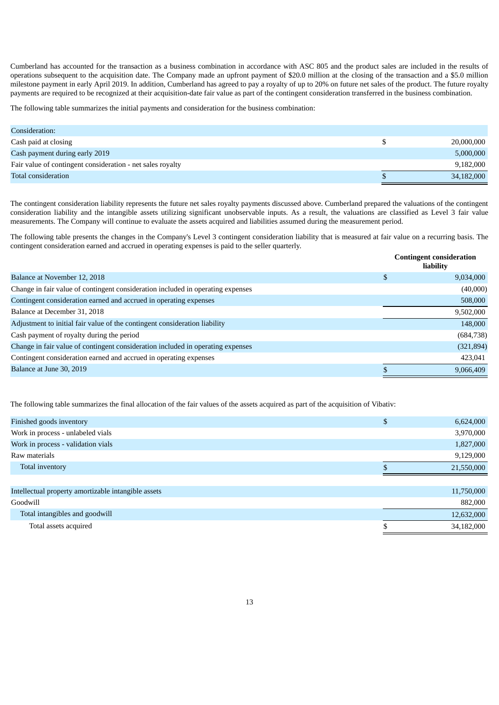Cumberland has accounted for the transaction as a business combination in accordance with ASC 805 and the product sales are included in the results of operations subsequent to the acquisition date. The Company made an upfront payment of \$20.0 million at the closing of the transaction and a \$5.0 million milestone payment in early April 2019. In addition, Cumberland has agreed to pay a royalty of up to 20% on future net sales of the product. The future royalty payments are required to be recognized at their acquisition-date fair value as part of the contingent consideration transferred in the business combination.

The following table summarizes the initial payments and consideration for the business combination:

| Consideration:                                             |            |
|------------------------------------------------------------|------------|
| Cash paid at closing                                       | 20,000,000 |
| Cash payment during early 2019                             | 5,000,000  |
| Fair value of contingent consideration - net sales royalty | 9,182,000  |
| <b>Total consideration</b>                                 | 34,182,000 |

The contingent consideration liability represents the future net sales royalty payments discussed above. Cumberland prepared the valuations of the contingent consideration liability and the intangible assets utilizing significant unobservable inputs. As a result, the valuations are classified as Level 3 fair value measurements. The Company will continue to evaluate the assets acquired and liabilities assumed during the measurement period.

The following table presents the changes in the Company's Level 3 contingent consideration liability that is measured at fair value on a recurring basis. The contingent consideration earned and accrued in operating expenses is paid to the seller quarterly.

|                                                                                 | <b>Contingent consideration</b><br>liability |
|---------------------------------------------------------------------------------|----------------------------------------------|
| Balance at November 12, 2018                                                    | \$<br>9,034,000                              |
| Change in fair value of contingent consideration included in operating expenses | (40,000)                                     |
| Contingent consideration earned and accrued in operating expenses               | 508,000                                      |
| Balance at December 31, 2018                                                    | 9,502,000                                    |
| Adjustment to initial fair value of the contingent consideration liability      | 148,000                                      |
| Cash payment of royalty during the period                                       | (684, 738)                                   |
| Change in fair value of contingent consideration included in operating expenses | (321, 894)                                   |
| Contingent consideration earned and accrued in operating expenses               | 423,041                                      |
| Balance at June 30, 2019                                                        | 9,066,409                                    |

The following table summarizes the final allocation of the fair values of the assets acquired as part of the acquisition of Vibativ:

| Finished goods inventory                            | \$<br>6,624,000 |
|-----------------------------------------------------|-----------------|
| Work in process - unlabeled vials                   | 3,970,000       |
| Work in process - validation vials                  | 1,827,000       |
| Raw materials                                       | 9,129,000       |
| Total inventory                                     | 21,550,000      |
|                                                     |                 |
|                                                     |                 |
| Intellectual property amortizable intangible assets | 11,750,000      |
| Goodwill                                            | 882,000         |
| Total intangibles and goodwill                      | 12,632,000      |
| Total assets acquired                               | 34,182,000      |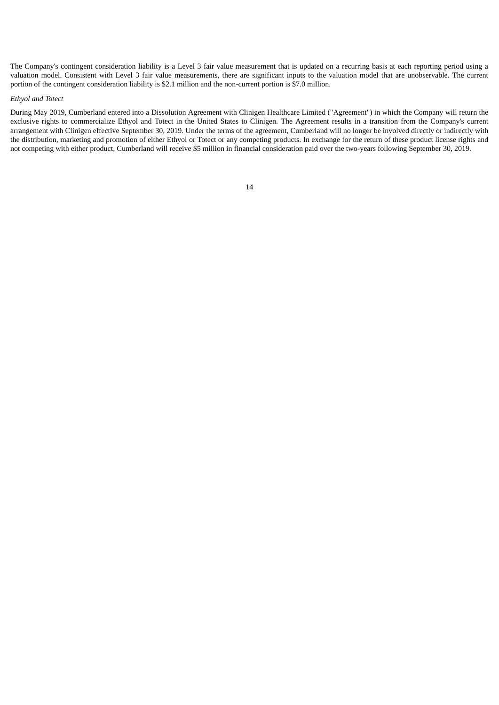The Company's contingent consideration liability is a Level 3 fair value measurement that is updated on a recurring basis at each reporting period using a valuation model. Consistent with Level 3 fair value measurements, there are significant inputs to the valuation model that are unobservable. The current portion of the contingent consideration liability is \$2.1 million and the non-current portion is \$7.0 million.

## *Ethyol and Totect*

<span id="page-15-0"></span>During May 2019, Cumberland entered into a Dissolution Agreement with Clinigen Healthcare Limited ("Agreement") in which the Company will return the exclusive rights to commercialize Ethyol and Totect in the United States to Clinigen. The Agreement results in a transition from the Company's current arrangement with Clinigen effective September 30, 2019. Under the terms of the agreement, Cumberland will no longer be involved directly or indirectly with the distribution, marketing and promotion of either Ethyol or Totect or any competing products. In exchange for the return of these product license rights and not competing with either product, Cumberland will receive \$5 million in financial consideration paid over the two-years following September 30, 2019.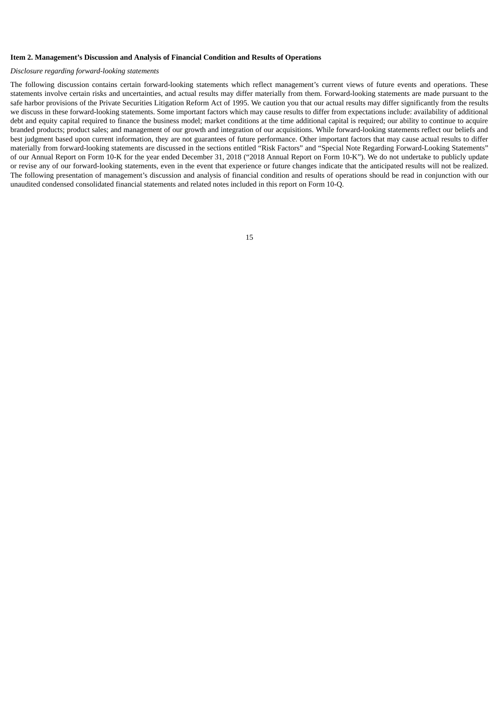#### **Item 2. Management's Discussion and Analysis of Financial Condition and Results of Operations**

#### *Disclosure regarding forward-looking statements*

The following discussion contains certain forward-looking statements which reflect management's current views of future events and operations. These statements involve certain risks and uncertainties, and actual results may differ materially from them. Forward-looking statements are made pursuant to the safe harbor provisions of the Private Securities Litigation Reform Act of 1995. We caution you that our actual results may differ significantly from the results we discuss in these forward-looking statements. Some important factors which may cause results to differ from expectations include: availability of additional debt and equity capital required to finance the business model; market conditions at the time additional capital is required; our ability to continue to acquire branded products; product sales; and management of our growth and integration of our acquisitions. While forward-looking statements reflect our beliefs and best judgment based upon current information, they are not guarantees of future performance. Other important factors that may cause actual results to differ materially from forward-looking statements are discussed in the sections entitled "Risk Factors" and "Special Note Regarding Forward-Looking Statements" of our Annual Report on Form 10-K for the year ended December 31, 2018 ("2018 Annual Report on Form 10-K"). We do not undertake to publicly update or revise any of our forward-looking statements, even in the event that experience or future changes indicate that the anticipated results will not be realized. The following presentation of management's discussion and analysis of financial condition and results of operations should be read in conjunction with our unaudited condensed consolidated financial statements and related notes included in this report on Form 10-Q.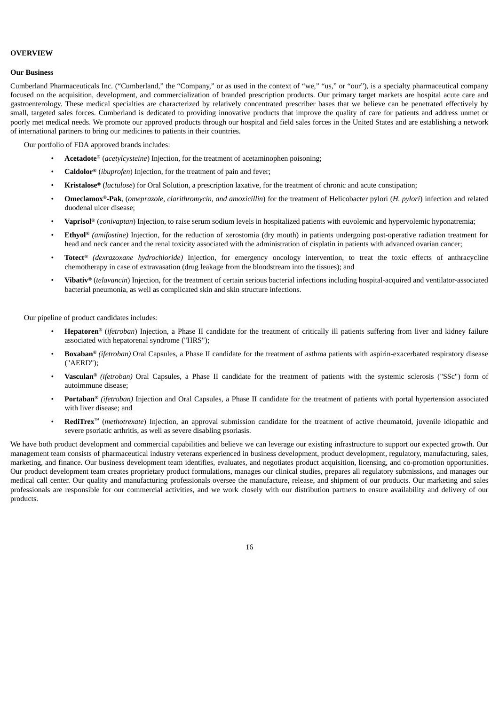# **OVERVIEW**

#### **Our Business**

Cumberland Pharmaceuticals Inc. ("Cumberland," the "Company," or as used in the context of "we," "us," or "our"), is a specialty pharmaceutical company focused on the acquisition, development, and commercialization of branded prescription products. Our primary target markets are hospital acute care and gastroenterology. These medical specialties are characterized by relatively concentrated prescriber bases that we believe can be penetrated effectively by small, targeted sales forces. Cumberland is dedicated to providing innovative products that improve the quality of care for patients and address unmet or poorly met medical needs. We promote our approved products through our hospital and field sales forces in the United States and are establishing a network of international partners to bring our medicines to patients in their countries.

Our portfolio of FDA approved brands includes:

- **Acetadote®** (*acetylcysteine*) Injection, for the treatment of acetaminophen poisoning;
- **Caldolor®** (*ibuprofen*) Injection, for the treatment of pain and fever;
- **Kristalose®** (*lactulose*) for Oral Solution, a prescription laxative, for the treatment of chronic and acute constipation;
- **Omeclamox ®-Pak**, (*omeprazole, clarithromycin, and amoxicillin*) for the treatment of Helicobacter pylori (*H. pylori*) infection and related duodenal ulcer disease;
- **Vaprisol®** (*conivaptan*) Injection, to raise serum sodium levels in hospitalized patients with euvolemic and hypervolemic hyponatremia;
- **Ethyol®** *(amifostine)* Injection, for the reduction of xerostomia (dry mouth) in patients undergoing post-operative radiation treatment for head and neck cancer and the renal toxicity associated with the administration of cisplatin in patients with advanced ovarian cancer;
- **Totect®** *(dexrazoxane hydrochloride)* Injection, for emergency oncology intervention, to treat the toxic effects of anthracycline chemotherapy in case of extravasation (drug leakage from the bloodstream into the tissues); and
- **Vibativ ®** (*telavancin*) Injection, for the treatment of certain serious bacterial infections including hospital-acquired and ventilator-associated bacterial pneumonia, as well as complicated skin and skin structure infections.

Our pipeline of product candidates includes:

- **Hepatoren ®** (*ifetroban*) Injection, a Phase II candidate for the treatment of critically ill patients suffering from liver and kidney failure associated with hepatorenal syndrome ("HRS");
- **Boxaban ®** *(ifetroban)* Oral Capsules, a Phase II candidate for the treatment of asthma patients with aspirin-exacerbated respiratory disease ("AERD");
- **Vasculan ®** *(ifetroban)* Oral Capsules, a Phase II candidate for the treatment of patients with the systemic sclerosis ("SSc") form of autoimmune disease;
- **Portaban ®** *(ifetroban)* Injection and Oral Capsules, a Phase II candidate for the treatment of patients with portal hypertension associated with liver disease; and
- **RediTrex**™ (*methotrexate*) Injection, an approval submission candidate for the treatment of active rheumatoid, juvenile idiopathic and severe psoriatic arthritis, as well as severe disabling psoriasis.

We have both product development and commercial capabilities and believe we can leverage our existing infrastructure to support our expected growth. Our management team consists of pharmaceutical industry veterans experienced in business development, product development, regulatory, manufacturing, sales, marketing, and finance. Our business development team identifies, evaluates, and negotiates product acquisition, licensing, and co-promotion opportunities. Our product development team creates proprietary product formulations, manages our clinical studies, prepares all regulatory submissions, and manages our medical call center. Our quality and manufacturing professionals oversee the manufacture, release, and shipment of our products. Our marketing and sales professionals are responsible for our commercial activities, and we work closely with our distribution partners to ensure availability and delivery of our products.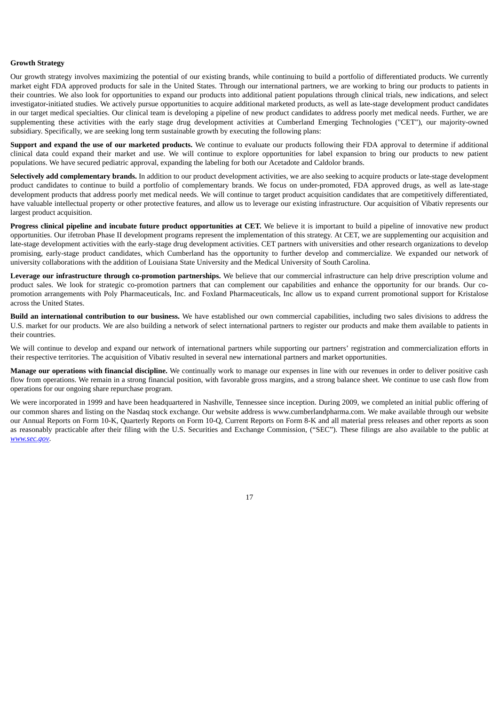#### **Growth Strategy**

Our growth strategy involves maximizing the potential of our existing brands, while continuing to build a portfolio of differentiated products. We currently market eight FDA approved products for sale in the United States. Through our international partners, we are working to bring our products to patients in their countries. We also look for opportunities to expand our products into additional patient populations through clinical trials, new indications, and select investigator-initiated studies. We actively pursue opportunities to acquire additional marketed products, as well as late-stage development product candidates in our target medical specialties. Our clinical team is developing a pipeline of new product candidates to address poorly met medical needs. Further, we are supplementing these activities with the early stage drug development activities at Cumberland Emerging Technologies ("CET"), our majority-owned subsidiary. Specifically, we are seeking long term sustainable growth by executing the following plans:

**Support and expand the use of our marketed products.** We continue to evaluate our products following their FDA approval to determine if additional clinical data could expand their market and use. We will continue to explore opportunities for label expansion to bring our products to new patient populations. We have secured pediatric approval, expanding the labeling for both our Acetadote and Caldolor brands.

**Selectively add complementary brands.** In addition to our product development activities, we are also seeking to acquire products or late-stage development product candidates to continue to build a portfolio of complementary brands. We focus on under-promoted, FDA approved drugs, as well as late-stage development products that address poorly met medical needs. We will continue to target product acquisition candidates that are competitively differentiated, have valuable intellectual property or other protective features, and allow us to leverage our existing infrastructure. Our acquisition of Vibativ represents our largest product acquisition.

**Progress clinical pipeline and incubate future product opportunities at CET.** We believe it is important to build a pipeline of innovative new product opportunities. Our ifetroban Phase II development programs represent the implementation of this strategy. At CET, we are supplementing our acquisition and late-stage development activities with the early-stage drug development activities. CET partners with universities and other research organizations to develop promising, early-stage product candidates, which Cumberland has the opportunity to further develop and commercialize. We expanded our network of university collaborations with the addition of Louisiana State University and the Medical University of South Carolina.

**Leverage our infrastructure through co-promotion partnerships.** We believe that our commercial infrastructure can help drive prescription volume and product sales. We look for strategic co-promotion partners that can complement our capabilities and enhance the opportunity for our brands. Our copromotion arrangements with Poly Pharmaceuticals, Inc. and Foxland Pharmaceuticals, Inc allow us to expand current promotional support for Kristalose across the United States.

**Build an international contribution to our business.** We have established our own commercial capabilities, including two sales divisions to address the U.S. market for our products. We are also building a network of select international partners to register our products and make them available to patients in their countries.

We will continue to develop and expand our network of international partners while supporting our partners' registration and commercialization efforts in their respective territories. The acquisition of Vibativ resulted in several new international partners and market opportunities.

**Manage our operations with financial discipline.** We continually work to manage our expenses in line with our revenues in order to deliver positive cash flow from operations. We remain in a strong financial position, with favorable gross margins, and a strong balance sheet. We continue to use cash flow from operations for our ongoing share repurchase program.

We were incorporated in 1999 and have been headquartered in Nashville, Tennessee since inception. During 2009, we completed an initial public offering of our common shares and listing on the Nasdaq stock exchange. Our website address is www.cumberlandpharma.com. We make available through our website our Annual Reports on Form 10-K, Quarterly Reports on Form 10-Q, Current Reports on Form 8-K and all material press releases and other reports as soon as reasonably practicable after their filing with the U.S. Securities and Exchange Commission, ("SEC"). These filings are also available to the public at *www.sec.gov*.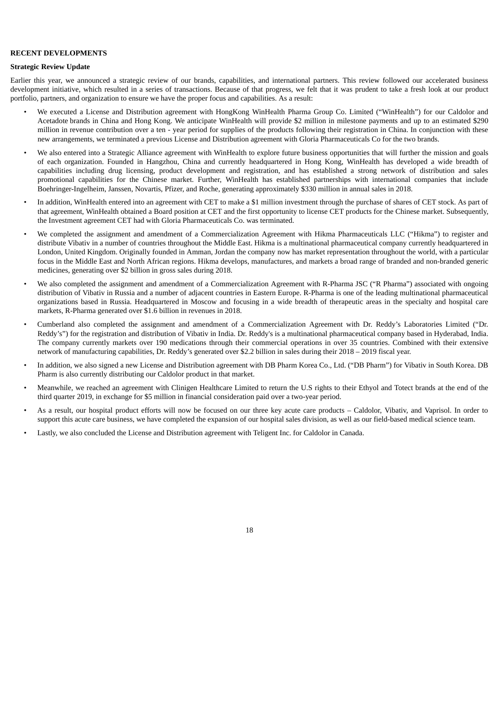## **RECENT DEVELOPMENTS**

#### **Strategic Review Update**

Earlier this year, we announced a strategic review of our brands, capabilities, and international partners. This review followed our accelerated business development initiative, which resulted in a series of transactions. Because of that progress, we felt that it was prudent to take a fresh look at our product portfolio, partners, and organization to ensure we have the proper focus and capabilities. As a result:

- We executed a License and Distribution agreement with HongKong WinHealth Pharma Group Co. Limited ("WinHealth") for our Caldolor and Acetadote brands in China and Hong Kong. We anticipate WinHealth will provide \$2 million in milestone payments and up to an estimated \$290 million in revenue contribution over a ten - year period for supplies of the products following their registration in China. In conjunction with these new arrangements, we terminated a previous License and Distribution agreement with Gloria Pharmaceuticals Co for the two brands.
- We also entered into a Strategic Alliance agreement with WinHealth to explore future business opportunities that will further the mission and goals of each organization. Founded in Hangzhou, China and currently headquartered in Hong Kong, WinHealth has developed a wide breadth of capabilities including drug licensing, product development and registration, and has established a strong network of distribution and sales promotional capabilities for the Chinese market. Further, WinHealth has established partnerships with international companies that include Boehringer-Ingelheim, Janssen, Novartis, Pfizer, and Roche, generating approximately \$330 million in annual sales in 2018.
- In addition, WinHealth entered into an agreement with CET to make a \$1 million investment through the purchase of shares of CET stock. As part of that agreement, WinHealth obtained a Board position at CET and the first opportunity to license CET products for the Chinese market. Subsequently, the Investment agreement CET had with Gloria Pharmaceuticals Co. was terminated.
- We completed the assignment and amendment of a Commercialization Agreement with Hikma Pharmaceuticals LLC ("Hikma") to register and distribute Vibativ in a number of countries throughout the Middle East. Hikma is a multinational pharmaceutical company currently headquartered in London, United Kingdom. Originally founded in Amman, Jordan the company now has market representation throughout the world, with a particular focus in the Middle East and North African regions. Hikma develops, manufactures, and markets a broad range of branded and non-branded generic medicines, generating over \$2 billion in gross sales during 2018.
- We also completed the assignment and amendment of a Commercialization Agreement with R-Pharma JSC ("R Pharma") associated with ongoing distribution of Vibativ in Russia and a number of adjacent countries in Eastern Europe. R-Pharma is one of the leading multinational pharmaceutical organizations based in Russia. Headquartered in Moscow and focusing in a wide breadth of therapeutic areas in the specialty and hospital care markets, R-Pharma generated over \$1.6 billion in revenues in 2018.
- Cumberland also completed the assignment and amendment of a Commercialization Agreement with Dr. Reddy's Laboratories Limited ("Dr. Reddy's") for the registration and distribution of Vibativ in India. Dr. Reddy's is a multinational pharmaceutical company based in Hyderabad, India. The company currently markets over 190 medications through their commercial operations in over 35 countries. Combined with their extensive network of manufacturing capabilities, Dr. Reddy's generated over \$2.2 billion in sales during their 2018 – 2019 fiscal year.
- In addition, we also signed a new License and Distribution agreement with DB Pharm Korea Co., Ltd. ("DB Pharm") for Vibativ in South Korea. DB Pharm is also currently distributing our Caldolor product in that market.
- Meanwhile, we reached an agreement with Clinigen Healthcare Limited to return the U.S rights to their Ethyol and Totect brands at the end of the third quarter 2019, in exchange for \$5 million in financial consideration paid over a two-year period.
- As a result, our hospital product efforts will now be focused on our three key acute care products Caldolor, Vibativ, and Vaprisol. In order to support this acute care business, we have completed the expansion of our hospital sales division, as well as our field-based medical science team.
- Lastly, we also concluded the License and Distribution agreement with Teligent Inc. for Caldolor in Canada.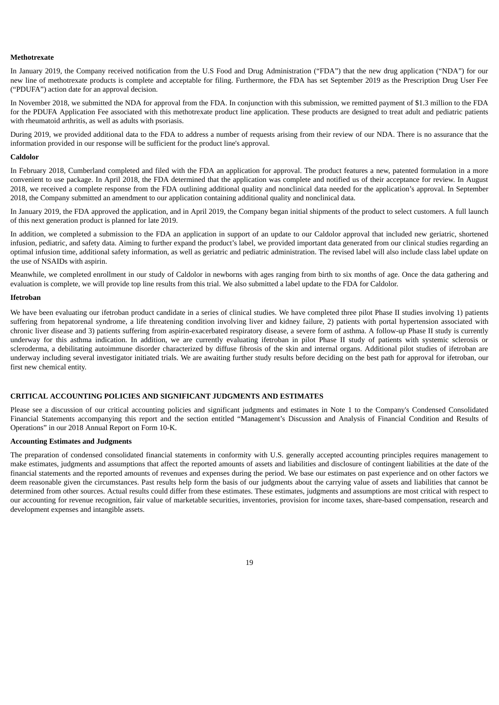#### **Methotrexate**

In January 2019, the Company received notification from the U.S Food and Drug Administration ("FDA") that the new drug application ("NDA") for our new line of methotrexate products is complete and acceptable for filing. Furthermore, the FDA has set September 2019 as the Prescription Drug User Fee ("PDUFA") action date for an approval decision.

In November 2018, we submitted the NDA for approval from the FDA. In conjunction with this submission, we remitted payment of \$1.3 million to the FDA for the PDUFA Application Fee associated with this methotrexate product line application. These products are designed to treat adult and pediatric patients with rheumatoid arthritis, as well as adults with psoriasis.

During 2019, we provided additional data to the FDA to address a number of requests arising from their review of our NDA. There is no assurance that the information provided in our response will be sufficient for the product line's approval.

#### **Caldolor**

In February 2018, Cumberland completed and filed with the FDA an application for approval. The product features a new, patented formulation in a more convenient to use package. In April 2018, the FDA determined that the application was complete and notified us of their acceptance for review. In August 2018, we received a complete response from the FDA outlining additional quality and nonclinical data needed for the application's approval. In September 2018, the Company submitted an amendment to our application containing additional quality and nonclinical data.

In January 2019, the FDA approved the application, and in April 2019, the Company began initial shipments of the product to select customers. A full launch of this next generation product is planned for late 2019.

In addition, we completed a submission to the FDA an application in support of an update to our Caldolor approval that included new geriatric, shortened infusion, pediatric, and safety data. Aiming to further expand the product's label, we provided important data generated from our clinical studies regarding an optimal infusion time, additional safety information, as well as geriatric and pediatric administration. The revised label will also include class label update on the use of NSAIDs with aspirin.

Meanwhile, we completed enrollment in our study of Caldolor in newborns with ages ranging from birth to six months of age. Once the data gathering and evaluation is complete, we will provide top line results from this trial. We also submitted a label update to the FDA for Caldolor.

#### **Ifetroban**

We have been evaluating our ifetroban product candidate in a series of clinical studies. We have completed three pilot Phase II studies involving 1) patients suffering from hepatorenal syndrome, a life threatening condition involving liver and kidney failure, 2) patients with portal hypertension associated with chronic liver disease and 3) patients suffering from aspirin-exacerbated respiratory disease, a severe form of asthma. A follow-up Phase II study is currently underway for this asthma indication. In addition, we are currently evaluating ifetroban in pilot Phase II study of patients with systemic sclerosis or scleroderma, a debilitating autoimmune disorder characterized by diffuse fibrosis of the skin and internal organs. Additional pilot studies of ifetroban are underway including several investigator initiated trials. We are awaiting further study results before deciding on the best path for approval for ifetroban, our first new chemical entity.

#### **CRITICAL ACCOUNTING POLICIES AND SIGNIFICANT JUDGMENTS AND ESTIMATES**

Please see a discussion of our critical accounting policies and significant judgments and estimates in Note 1 to the Company's Condensed Consolidated Financial Statements accompanying this report and the section entitled "Management's Discussion and Analysis of Financial Condition and Results of Operations" in our 2018 Annual Report on Form 10-K.

#### **Accounting Estimates and Judgments**

The preparation of condensed consolidated financial statements in conformity with U.S. generally accepted accounting principles requires management to make estimates, judgments and assumptions that affect the reported amounts of assets and liabilities and disclosure of contingent liabilities at the date of the financial statements and the reported amounts of revenues and expenses during the period. We base our estimates on past experience and on other factors we deem reasonable given the circumstances. Past results help form the basis of our judgments about the carrying value of assets and liabilities that cannot be determined from other sources. Actual results could differ from these estimates. These estimates, judgments and assumptions are most critical with respect to our accounting for revenue recognition, fair value of marketable securities, inventories, provision for income taxes, share-based compensation, research and development expenses and intangible assets.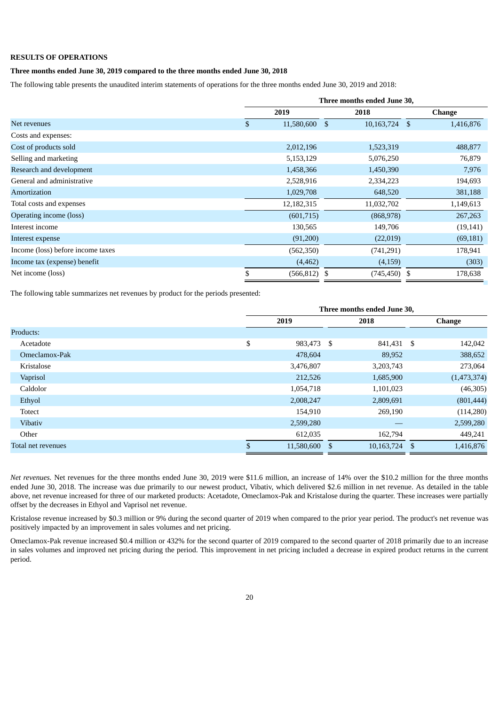# **RESULTS OF OPERATIONS**

# **Three months ended June 30, 2019 compared to the three months ended June 30, 2018**

The following table presents the unaudited interim statements of operations for the three months ended June 30, 2019 and 2018:

|                                   | Three months ended June 30, |                 |      |                 |     |               |
|-----------------------------------|-----------------------------|-----------------|------|-----------------|-----|---------------|
|                                   |                             | 2019            |      | 2018            |     | <b>Change</b> |
| Net revenues                      | \$                          | 11,580,600      | - \$ | 10,163,724      | -\$ | 1,416,876     |
| Costs and expenses:               |                             |                 |      |                 |     |               |
| Cost of products sold             |                             | 2,012,196       |      | 1,523,319       |     | 488,877       |
| Selling and marketing             |                             | 5,153,129       |      | 5,076,250       |     | 76,879        |
| Research and development          |                             | 1,458,366       |      | 1,450,390       |     | 7,976         |
| General and administrative        |                             | 2,528,916       |      | 2,334,223       |     | 194,693       |
| Amortization                      |                             | 1,029,708       |      | 648,520         |     | 381,188       |
| Total costs and expenses          |                             | 12,182,315      |      | 11,032,702      |     | 1,149,613     |
| Operating income (loss)           |                             | (601, 715)      |      | (868, 978)      |     | 267,263       |
| Interest income                   |                             | 130,565         |      | 149,706         |     | (19, 141)     |
| Interest expense                  |                             | (91,200)        |      | (22,019)        |     | (69, 181)     |
| Income (loss) before income taxes |                             | (562, 350)      |      | (741, 291)      |     | 178,941       |
| Income tax (expense) benefit      |                             | (4, 462)        |      | (4,159)         |     | (303)         |
| Net income (loss)                 |                             | $(566, 812)$ \$ |      | $(745, 450)$ \$ |     | 178,638       |

The following table summarizes net revenues by product for the periods presented:

|                    | Three months ended June 30, |            |    |              |              |             |
|--------------------|-----------------------------|------------|----|--------------|--------------|-------------|
|                    |                             | 2019       |    | 2018         |              | Change      |
| Products:          |                             |            |    |              |              |             |
| Acetadote          | \$                          | 983,473 \$ |    | 841,431 \$   |              | 142,042     |
| Omeclamox-Pak      |                             | 478,604    |    | 89,952       |              | 388,652     |
| Kristalose         |                             | 3,476,807  |    | 3,203,743    |              | 273,064     |
| Vaprisol           |                             | 212,526    |    | 1,685,900    |              | (1,473,374) |
| Caldolor           |                             | 1,054,718  |    | 1,101,023    |              | (46, 305)   |
| Ethyol             |                             | 2,008,247  |    | 2,809,691    |              | (801, 444)  |
| Totect             |                             | 154,910    |    | 269,190      |              | (114, 280)  |
| <b>Vibativ</b>     |                             | 2,599,280  |    |              |              | 2,599,280   |
| Other              |                             | 612,035    |    | 162,794      |              | 449,241     |
| Total net revenues |                             | 11,580,600 | \$ | 10, 163, 724 | $\mathbf{S}$ | 1,416,876   |

*Net revenues.* Net revenues for the three months ended June 30, 2019 were \$11.6 million, an increase of 14% over the \$10.2 million for the three months ended June 30, 2018. The increase was due primarily to our newest product, Vibativ, which delivered \$2.6 million in net revenue. As detailed in the table above, net revenue increased for three of our marketed products: Acetadote, Omeclamox-Pak and Kristalose during the quarter. These increases were partially offset by the decreases in Ethyol and Vaprisol net revenue.

Kristalose revenue increased by \$0.3 million or 9% during the second quarter of 2019 when compared to the prior year period. The product's net revenue was positively impacted by an improvement in sales volumes and net pricing.

Omeclamox-Pak revenue increased \$0.4 million or 432% for the second quarter of 2019 compared to the second quarter of 2018 primarily due to an increase in sales volumes and improved net pricing during the period. This improvement in net pricing included a decrease in expired product returns in the current period.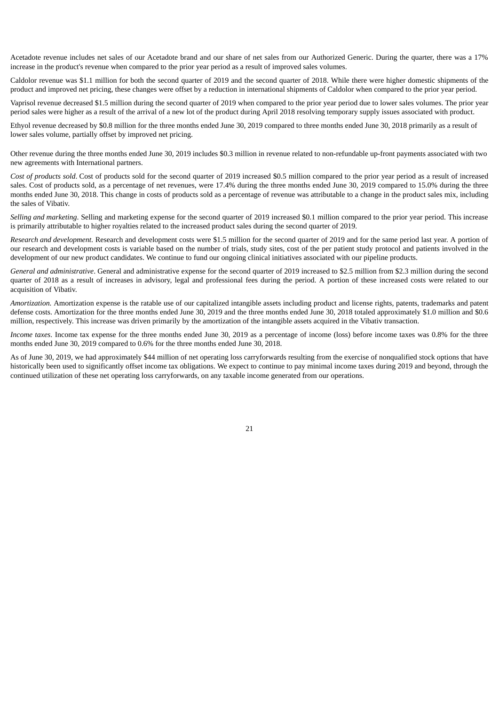Acetadote revenue includes net sales of our Acetadote brand and our share of net sales from our Authorized Generic. During the quarter, there was a 17% increase in the product's revenue when compared to the prior year period as a result of improved sales volumes.

Caldolor revenue was \$1.1 million for both the second quarter of 2019 and the second quarter of 2018. While there were higher domestic shipments of the product and improved net pricing, these changes were offset by a reduction in international shipments of Caldolor when compared to the prior year period.

Vaprisol revenue decreased \$1.5 million during the second quarter of 2019 when compared to the prior year period due to lower sales volumes. The prior year period sales were higher as a result of the arrival of a new lot of the product during April 2018 resolving temporary supply issues associated with product.

Ethyol revenue decreased by \$0.8 million for the three months ended June 30, 2019 compared to three months ended June 30, 2018 primarily as a result of lower sales volume, partially offset by improved net pricing.

Other revenue during the three months ended June 30, 2019 includes \$0.3 million in revenue related to non-refundable up-front payments associated with two new agreements with International partners.

*Cost of products sold*. Cost of products sold for the second quarter of 2019 increased \$0.5 million compared to the prior year period as a result of increased sales. Cost of products sold, as a percentage of net revenues, were 17.4% during the three months ended June 30, 2019 compared to 15.0% during the three months ended June 30, 2018. This change in costs of products sold as a percentage of revenue was attributable to a change in the product sales mix, including the sales of Vibativ.

*Selling and marketing*. Selling and marketing expense for the second quarter of 2019 increased \$0.1 million compared to the prior year period. This increase is primarily attributable to higher royalties related to the increased product sales during the second quarter of 2019.

*Research and development*. Research and development costs were \$1.5 million for the second quarter of 2019 and for the same period last year. A portion of our research and development costs is variable based on the number of trials, study sites, cost of the per patient study protocol and patients involved in the development of our new product candidates. We continue to fund our ongoing clinical initiatives associated with our pipeline products.

*General and administrative*. General and administrative expense for the second quarter of 2019 increased to \$2.5 million from \$2.3 million during the second quarter of 2018 as a result of increases in advisory, legal and professional fees during the period. A portion of these increased costs were related to our acquisition of Vibativ.

*Amortization.* Amortization expense is the ratable use of our capitalized intangible assets including product and license rights, patents, trademarks and patent defense costs. Amortization for the three months ended June 30, 2019 and the three months ended June 30, 2018 totaled approximately \$1.0 million and \$0.6 million, respectively. This increase was driven primarily by the amortization of the intangible assets acquired in the Vibativ transaction.

*Income taxes*. Income tax expense for the three months ended June 30, 2019 as a percentage of income (loss) before income taxes was 0.8% for the three months ended June 30, 2019 compared to 0.6% for the three months ended June 30, 2018.

As of June 30, 2019, we had approximately \$44 million of net operating loss carryforwards resulting from the exercise of nonqualified stock options that have historically been used to significantly offset income tax obligations. We expect to continue to pay minimal income taxes during 2019 and beyond, through the continued utilization of these net operating loss carryforwards, on any taxable income generated from our operations.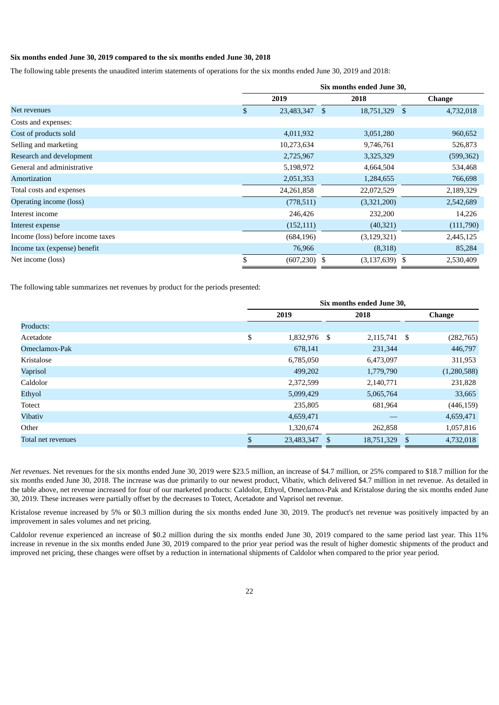#### **Six months ended June 30, 2019 compared to the six months ended June 30, 2018**

The following table presents the unaudited interim statements of operations for the six months ended June 30, 2019 and 2018:

|                                   | Six months ended June 30, |                |    |                  |    |               |
|-----------------------------------|---------------------------|----------------|----|------------------|----|---------------|
|                                   |                           | 2019           |    | 2018             |    | <b>Change</b> |
| Net revenues                      |                           | 23,483,347     | \$ | 18,751,329       | \$ | 4,732,018     |
| Costs and expenses:               |                           |                |    |                  |    |               |
| Cost of products sold             |                           | 4,011,932      |    | 3,051,280        |    | 960,652       |
| Selling and marketing             |                           | 10,273,634     |    | 9,746,761        |    | 526,873       |
| Research and development          |                           | 2,725,967      |    | 3,325,329        |    | (599, 362)    |
| General and administrative        |                           | 5,198,972      |    | 4,664,504        |    | 534,468       |
| Amortization                      |                           | 2,051,353      |    | 1,284,655        |    | 766,698       |
| Total costs and expenses          |                           | 24,261,858     |    | 22,072,529       |    | 2,189,329     |
| Operating income (loss)           |                           | (778, 511)     |    | (3,321,200)      |    | 2,542,689     |
| Interest income                   |                           | 246,426        |    | 232,200          |    | 14,226        |
| Interest expense                  |                           | (152, 111)     |    | (40, 321)        |    | (111,790)     |
| Income (loss) before income taxes |                           | (684, 196)     |    | (3, 129, 321)    |    | 2,445,125     |
| Income tax (expense) benefit      |                           | 76,966         |    | (8,318)          |    | 85,284        |
| Net income (loss)                 |                           | $(607,230)$ \$ |    | $(3,137,639)$ \$ |    | 2,530,409     |

The following table summarizes net revenues by product for the periods presented:

|                    | Six months ended June 30, |            |     |              |     |               |
|--------------------|---------------------------|------------|-----|--------------|-----|---------------|
|                    |                           | 2019       |     | 2018         |     | <b>Change</b> |
| Products:          |                           |            |     |              |     |               |
| Acetadote          | \$                        | 1,832,976  | -S  | 2,115,741 \$ |     | (282, 765)    |
| Omeclamox-Pak      |                           | 678,141    |     | 231,344      |     | 446,797       |
| Kristalose         |                           | 6,785,050  |     | 6,473,097    |     | 311,953       |
| Vaprisol           |                           | 499,202    |     | 1,779,790    |     | (1,280,588)   |
| Caldolor           |                           | 2,372,599  |     | 2,140,771    |     | 231,828       |
| Ethyol             |                           | 5,099,429  |     | 5,065,764    |     | 33,665        |
| Totect             |                           | 235,805    |     | 681,964      |     | (446, 159)    |
| <b>Vibativ</b>     |                           | 4,659,471  |     |              |     | 4,659,471     |
| Other              |                           | 1,320,674  |     | 262,858      |     | 1,057,816     |
| Total net revenues |                           | 23,483,347 | -\$ | 18,751,329   | -\$ | 4,732,018     |

*Net revenues.* Net revenues for the six months ended June 30, 2019 were \$23.5 million, an increase of \$4.7 million, or 25% compared to \$18.7 million for the six months ended June 30, 2018. The increase was due primarily to our newest product, Vibativ, which delivered \$4.7 million in net revenue. As detailed in the table above, net revenue increased for four of our marketed products: Caldolor, Ethyol, Omeclamox-Pak and Kristalose during the six months ended June 30, 2019. These increases were partially offset by the decreases to Totect, Acetadote and Vaprisol net revenue.

Kristalose revenue increased by 5% or \$0.3 million during the six months ended June 30, 2019. The product's net revenue was positively impacted by an improvement in sales volumes and net pricing.

Caldolor revenue experienced an increase of \$0.2 million during the six months ended June 30, 2019 compared to the same period last year. This 11% increase in revenue in the six months ended June 30, 2019 compared to the prior year period was the result of higher domestic shipments of the product and improved net pricing, these changes were offset by a reduction in international shipments of Caldolor when compared to the prior year period.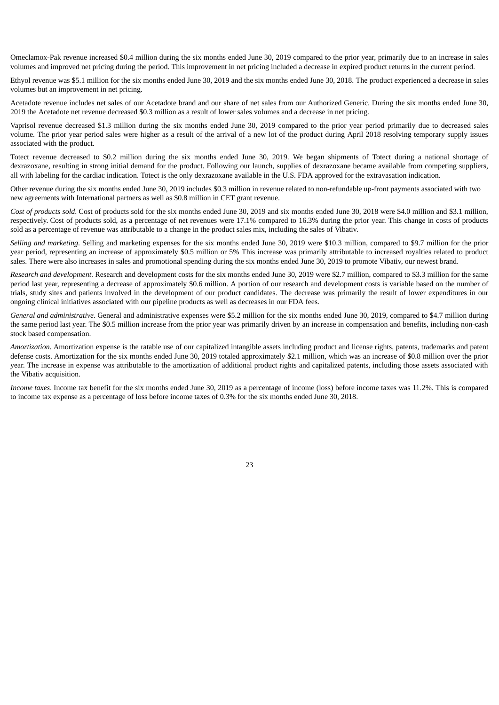Omeclamox-Pak revenue increased \$0.4 million during the six months ended June 30, 2019 compared to the prior year, primarily due to an increase in sales volumes and improved net pricing during the period. This improvement in net pricing included a decrease in expired product returns in the current period.

Ethyol revenue was \$5.1 million for the six months ended June 30, 2019 and the six months ended June 30, 2018. The product experienced a decrease in sales volumes but an improvement in net pricing.

Acetadote revenue includes net sales of our Acetadote brand and our share of net sales from our Authorized Generic. During the six months ended June 30, 2019 the Acetadote net revenue decreased \$0.3 million as a result of lower sales volumes and a decrease in net pricing.

Vaprisol revenue decreased \$1.3 million during the six months ended June 30, 2019 compared to the prior year period primarily due to decreased sales volume. The prior year period sales were higher as a result of the arrival of a new lot of the product during April 2018 resolving temporary supply issues associated with the product.

Totect revenue decreased to \$0.2 million during the six months ended June 30, 2019. We began shipments of Totect during a national shortage of dexrazoxane, resulting in strong initial demand for the product. Following our launch, supplies of dexrazoxane became available from competing suppliers, all with labeling for the cardiac indication. Totect is the only dexrazoxane available in the U.S. FDA approved for the extravasation indication.

Other revenue during the six months ended June 30, 2019 includes \$0.3 million in revenue related to non-refundable up-front payments associated with two new agreements with International partners as well as \$0.8 million in CET grant revenue.

*Cost of products sold*. Cost of products sold for the six months ended June 30, 2019 and six months ended June 30, 2018 were \$4.0 million and \$3.1 million, respectively. Cost of products sold, as a percentage of net revenues were 17.1% compared to 16.3% during the prior year. This change in costs of products sold as a percentage of revenue was attributable to a change in the product sales mix, including the sales of Vibativ.

*Selling and marketing*. Selling and marketing expenses for the six months ended June 30, 2019 were \$10.3 million, compared to \$9.7 million for the prior year period, representing an increase of approximately \$0.5 million or 5% This increase was primarily attributable to increased royalties related to product sales. There were also increases in sales and promotional spending during the six months ended June 30, 2019 to promote Vibativ, our newest brand.

*Research and development*. Research and development costs for the six months ended June 30, 2019 were \$2.7 million, compared to \$3.3 million for the same period last year, representing a decrease of approximately \$0.6 million. A portion of our research and development costs is variable based on the number of trials, study sites and patients involved in the development of our product candidates. The decrease was primarily the result of lower expenditures in our ongoing clinical initiatives associated with our pipeline products as well as decreases in our FDA fees.

*General and administrative*. General and administrative expenses were \$5.2 million for the six months ended June 30, 2019, compared to \$4.7 million during the same period last year. The \$0.5 million increase from the prior year was primarily driven by an increase in compensation and benefits, including non-cash stock based compensation.

*Amortization.* Amortization expense is the ratable use of our capitalized intangible assets including product and license rights, patents, trademarks and patent defense costs. Amortization for the six months ended June 30, 2019 totaled approximately \$2.1 million, which was an increase of \$0.8 million over the prior year. The increase in expense was attributable to the amortization of additional product rights and capitalized patents, including those assets associated with the Vibativ acquisition.

*Income taxes*. Income tax benefit for the six months ended June 30, 2019 as a percentage of income (loss) before income taxes was 11.2%. This is compared to income tax expense as a percentage of loss before income taxes of 0.3% for the six months ended June 30, 2018.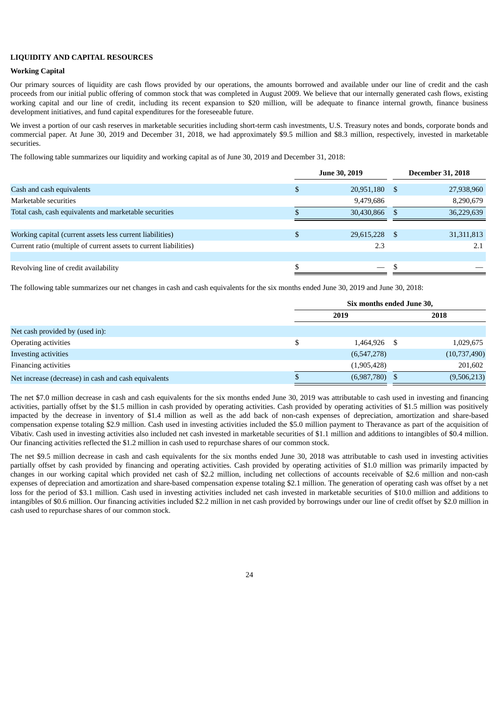## **LIQUIDITY AND CAPITAL RESOURCES**

## **Working Capital**

Our primary sources of liquidity are cash flows provided by our operations, the amounts borrowed and available under our line of credit and the cash proceeds from our initial public offering of common stock that was completed in August 2009. We believe that our internally generated cash flows, existing working capital and our line of credit, including its recent expansion to \$20 million, will be adequate to finance internal growth, finance business development initiatives, and fund capital expenditures for the foreseeable future.

We invest a portion of our cash reserves in marketable securities including short-term cash investments, U.S. Treasury notes and bonds, corporate bonds and commercial paper. At June 30, 2019 and December 31, 2018, we had approximately \$9.5 million and \$8.3 million, respectively, invested in marketable securities.

The following table summarizes our liquidity and working capital as of June 30, 2019 and December 31, 2018:

|                                                                   | <b>June 30, 2019</b> |    | <b>December 31, 2018</b> |
|-------------------------------------------------------------------|----------------------|----|--------------------------|
| Cash and cash equivalents                                         | 20,951,180           | -S | 27,938,960               |
| Marketable securities                                             | 9,479,686            |    | 8,290,679                |
| Total cash, cash equivalents and marketable securities            | 30,430,866           |    | 36,229,639               |
|                                                                   |                      |    |                          |
| Working capital (current assets less current liabilities)         | 29,615,228           |    | 31,311,813               |
| Current ratio (multiple of current assets to current liabilities) | 2.3                  |    | 2.1                      |
|                                                                   |                      |    |                          |
| Revolving line of credit availability                             |                      |    |                          |

The following table summarizes our net changes in cash and cash equivalents for the six months ended June 30, 2019 and June 30, 2018:

|                                                      | Six months ended June 30, |                  |    |                |
|------------------------------------------------------|---------------------------|------------------|----|----------------|
|                                                      |                           | 2019             |    | 2018           |
| Net cash provided by (used in):                      |                           |                  |    |                |
| <b>Operating activities</b>                          |                           | 1,464,926        | -S | 1,029,675      |
| <b>Investing activities</b>                          |                           | (6,547,278)      |    | (10, 737, 490) |
| Financing activities                                 |                           | (1,905,428)      |    | 201,602        |
| Net increase (decrease) in cash and cash equivalents |                           | $(6,987,780)$ \$ |    | (9,506,213)    |

The net \$7.0 million decrease in cash and cash equivalents for the six months ended June 30, 2019 was attributable to cash used in investing and financing activities, partially offset by the \$1.5 million in cash provided by operating activities. Cash provided by operating activities of \$1.5 million was positively impacted by the decrease in inventory of \$1.4 million as well as the add back of non-cash expenses of depreciation, amortization and share-based compensation expense totaling \$2.9 million. Cash used in investing activities included the \$5.0 million payment to Theravance as part of the acquisition of Vibativ. Cash used in investing activities also included net cash invested in marketable securities of \$1.1 million and additions to intangibles of \$0.4 million. Our financing activities reflected the \$1.2 million in cash used to repurchase shares of our common stock.

The net \$9.5 million decrease in cash and cash equivalents for the six months ended June 30, 2018 was attributable to cash used in investing activities partially offset by cash provided by financing and operating activities. Cash provided by operating activities of \$1.0 million was primarily impacted by changes in our working capital which provided net cash of \$2.2 million, including net collections of accounts receivable of \$2.6 million and non-cash expenses of depreciation and amortization and share-based compensation expense totaling \$2.1 million. The generation of operating cash was offset by a net loss for the period of \$3.1 million. Cash used in investing activities included net cash invested in marketable securities of \$10.0 million and additions to intangibles of \$0.6 million. Our financing activities included \$2.2 million in net cash provided by borrowings under our line of credit offset by \$2.0 million in cash used to repurchase shares of our common stock.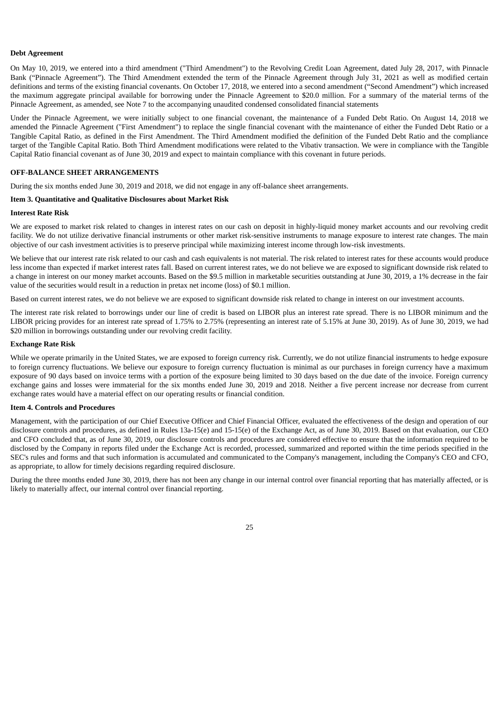#### **Debt Agreement**

On May 10, 2019, we entered into a third amendment ("Third Amendment") to the Revolving Credit Loan Agreement, dated July 28, 2017, with Pinnacle Bank ("Pinnacle Agreement"). The Third Amendment extended the term of the Pinnacle Agreement through July 31, 2021 as well as modified certain definitions and terms of the existing financial covenants. On October 17, 2018, we entered into a second amendment ("Second Amendment") which increased the maximum aggregate principal available for borrowing under the Pinnacle Agreement to \$20.0 million. For a summary of the material terms of the Pinnacle Agreement, as amended, see Note 7 to the accompanying unaudited condensed consolidated financial statements

Under the Pinnacle Agreement, we were initially subject to one financial covenant, the maintenance of a Funded Debt Ratio. On August 14, 2018 we amended the Pinnacle Agreement ("First Amendment") to replace the single financial covenant with the maintenance of either the Funded Debt Ratio or a Tangible Capital Ratio, as defined in the First Amendment. The Third Amendment modified the definition of the Funded Debt Ratio and the compliance target of the Tangible Capital Ratio. Both Third Amendment modifications were related to the Vibativ transaction. We were in compliance with the Tangible Capital Ratio financial covenant as of June 30, 2019 and expect to maintain compliance with this covenant in future periods.

#### **OFF-BALANCE SHEET ARRANGEMENTS**

During the six months ended June 30, 2019 and 2018, we did not engage in any off-balance sheet arrangements.

#### <span id="page-26-0"></span>**Item 3. Quantitative and Qualitative Disclosures about Market Risk**

#### **Interest Rate Risk**

We are exposed to market risk related to changes in interest rates on our cash on deposit in highly-liquid money market accounts and our revolving credit facility. We do not utilize derivative financial instruments or other market risk-sensitive instruments to manage exposure to interest rate changes. The main objective of our cash investment activities is to preserve principal while maximizing interest income through low-risk investments.

We believe that our interest rate risk related to our cash and cash equivalents is not material. The risk related to interest rates for these accounts would produce less income than expected if market interest rates fall. Based on current interest rates, we do not believe we are exposed to significant downside risk related to a change in interest on our money market accounts. Based on the \$9.5 million in marketable securities outstanding at June 30, 2019, a 1% decrease in the fair value of the securities would result in a reduction in pretax net income (loss) of \$0.1 million.

Based on current interest rates, we do not believe we are exposed to significant downside risk related to change in interest on our investment accounts.

The interest rate risk related to borrowings under our line of credit is based on LIBOR plus an interest rate spread. There is no LIBOR minimum and the LIBOR pricing provides for an interest rate spread of 1.75% to 2.75% (representing an interest rate of 5.15% at June 30, 2019). As of June 30, 2019, we had \$20 million in borrowings outstanding under our revolving credit facility.

#### **Exchange Rate Risk**

While we operate primarily in the United States, we are exposed to foreign currency risk. Currently, we do not utilize financial instruments to hedge exposure to foreign currency fluctuations. We believe our exposure to foreign currency fluctuation is minimal as our purchases in foreign currency have a maximum exposure of 90 days based on invoice terms with a portion of the exposure being limited to 30 days based on the due date of the invoice. Foreign currency exchange gains and losses were immaterial for the six months ended June 30, 2019 and 2018. Neither a five percent increase nor decrease from current exchange rates would have a material effect on our operating results or financial condition.

### <span id="page-26-1"></span>**Item 4. Controls and Procedures**

Management, with the participation of our Chief Executive Officer and Chief Financial Officer, evaluated the effectiveness of the design and operation of our disclosure controls and procedures, as defined in Rules 13a-15(e) and 15-15(e) of the Exchange Act, as of June 30, 2019. Based on that evaluation, our CEO and CFO concluded that, as of June 30, 2019, our disclosure controls and procedures are considered effective to ensure that the information required to be disclosed by the Company in reports filed under the Exchange Act is recorded, processed, summarized and reported within the time periods specified in the SEC's rules and forms and that such information is accumulated and communicated to the Company's management, including the Company's CEO and CFO, as appropriate, to allow for timely decisions regarding required disclosure.

<span id="page-26-2"></span>During the three months ended June 30, 2019, there has not been any change in our internal control over financial reporting that has materially affected, or is likely to materially affect, our internal control over financial reporting.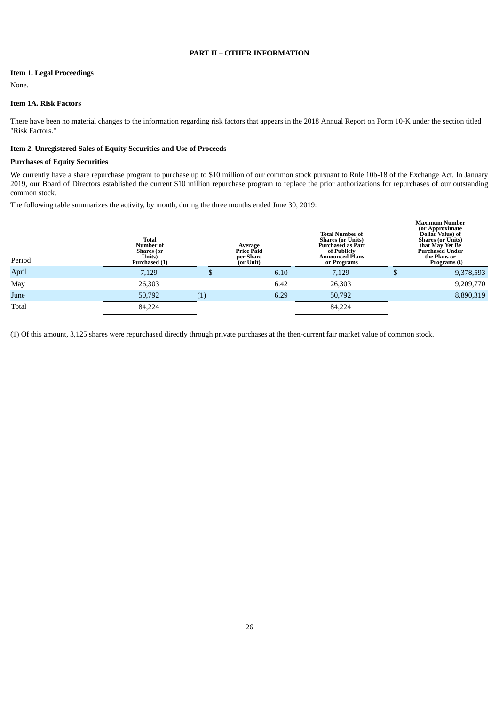# **PART II – OTHER INFORMATION**

## <span id="page-27-0"></span>**Item 1. Legal Proceedings**

<span id="page-27-1"></span>None.

## **Item 1A. Risk Factors**

There have been no material changes to the information regarding risk factors that appears in the 2018 Annual Report on Form 10-K under the section titled "Risk Factors."

# <span id="page-27-2"></span>**Item 2. Unregistered Sales of Equity Securities and Use of Proceeds**

# **Purchases of Equity Securities**

We currently have a share repurchase program to purchase up to \$10 million of our common stock pursuant to Rule 10b-18 of the Exchange Act. In January 2019, our Board of Directors established the current \$10 million repurchase program to replace the prior authorizations for repurchases of our outstanding common stock.

The following table summarizes the activity, by month, during the three months ended June 30, 2019:

| Period | <b>Total</b><br>Number of<br><b>Shares</b> (or<br>Units)<br>Purchased (1) |     | Average<br><b>Price Paid</b><br>per Share<br>(or Unit) | <b>Total Number of</b><br><b>Shares (or Units)</b><br><b>Purchased as Part</b><br>of Publicly<br>Announced Plans<br>or Programs |   | <b>Maximum Number</b><br>(or Approximate<br>Dollar Value) of<br><b>Shares (or Units)</b><br>that May Yet Be<br><b>Purchased Under</b><br>the Plans or<br>Programs (1) |
|--------|---------------------------------------------------------------------------|-----|--------------------------------------------------------|---------------------------------------------------------------------------------------------------------------------------------|---|-----------------------------------------------------------------------------------------------------------------------------------------------------------------------|
| April  | 7,129                                                                     | Φ   | 6.10                                                   | 7,129                                                                                                                           | D | 9,378,593                                                                                                                                                             |
| May    | 26,303                                                                    |     | 6.42                                                   | 26,303                                                                                                                          |   | 9,209,770                                                                                                                                                             |
| June   | 50,792                                                                    | (1) | 6.29                                                   | 50,792                                                                                                                          |   | 8,890,319                                                                                                                                                             |
| Total  | 84,224                                                                    |     |                                                        | 84,224                                                                                                                          |   |                                                                                                                                                                       |

<span id="page-27-3"></span>(1) Of this amount, 3,125 shares were repurchased directly through private purchases at the then-current fair market value of common stock.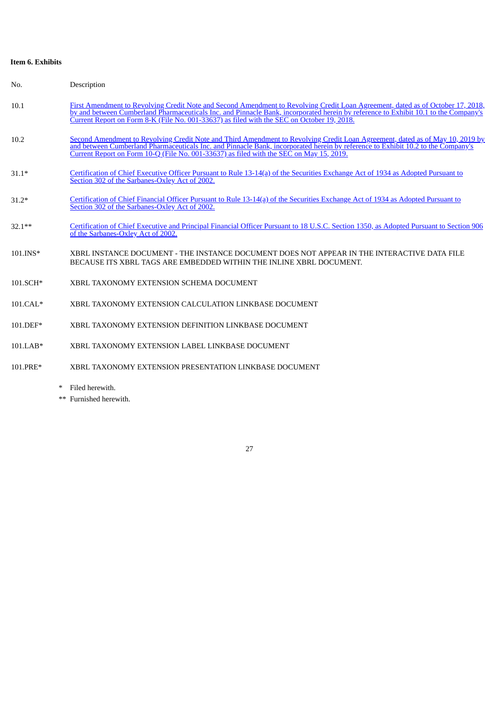# **Item 6. Exhibits**

| No.             | Description                                                                                                                                                                                                                                                                                                                                                          |
|-----------------|----------------------------------------------------------------------------------------------------------------------------------------------------------------------------------------------------------------------------------------------------------------------------------------------------------------------------------------------------------------------|
| 10.1            | First Amendment to Revolving Credit Note and Second Amendment to Revolving Credit Loan Agreement, dated as of October 17, 2018,<br>by and between Cumberland Pharmaceuticals Inc. and Pinnacle Bank, incorporated herein by reference to Exhibit 10.1 to the Company's<br>Current Report on Form 8-K (File No. 001-33637) as filed with the SEC on October 19, 2018. |
| 10.2            | Second Amendment to Revolving Credit Note and Third Amendment to Revolving Credit Loan Agreement, dated as of May 10, 2019 by and between Cumberland Pharmaceuticals Inc. and Pinnacle Bank, incorporated herein by reference<br>Current Report on Form 10-Q (File No. 001-33637) as filed with the SEC on May 15, 2019.                                             |
| $31.1*$         | Certification of Chief Executive Officer Pursuant to Rule 13-14(a) of the Securities Exchange Act of 1934 as Adopted Pursuant to<br>Section 302 of the Sarbanes-Oxley Act of 2002.                                                                                                                                                                                   |
| $31.2*$         | Certification of Chief Financial Officer Pursuant to Rule 13-14(a) of the Securities Exchange Act of 1934 as Adopted Pursuant to<br>Section 302 of the Sarbanes-Oxley Act of 2002.                                                                                                                                                                                   |
| $32.1**$        | Certification of Chief Executive and Principal Financial Officer Pursuant to 18 U.S.C. Section 1350, as Adopted Pursuant to Section 906<br>of the Sarbanes-Oxley Act of 2002.                                                                                                                                                                                        |
| $101.$ IN $S^*$ | XBRL INSTANCE DOCUMENT - THE INSTANCE DOCUMENT DOES NOT APPEAR IN THE INTERACTIVE DATA FILE<br>BECAUSE ITS XBRL TAGS ARE EMBEDDED WITHIN THE INLINE XBRL DOCUMENT.                                                                                                                                                                                                   |
| 101.SCH*        | XBRL TAXONOMY EXTENSION SCHEMA DOCUMENT                                                                                                                                                                                                                                                                                                                              |
| $101.CAL*$      | XBRL TAXONOMY EXTENSION CALCULATION LINKBASE DOCUMENT                                                                                                                                                                                                                                                                                                                |
| $101.$ DEF*     | XBRL TAXONOMY EXTENSION DEFINITION LINKBASE DOCUMENT                                                                                                                                                                                                                                                                                                                 |
| $101.LAB*$      | XBRL TAXONOMY EXTENSION LABEL LINKBASE DOCUMENT                                                                                                                                                                                                                                                                                                                      |
| 101.PRE*        | XBRL TAXONOMY EXTENSION PRESENTATION LINKBASE DOCUMENT                                                                                                                                                                                                                                                                                                               |

- \* Filed herewith.
- <span id="page-28-0"></span>\*\* Furnished herewith.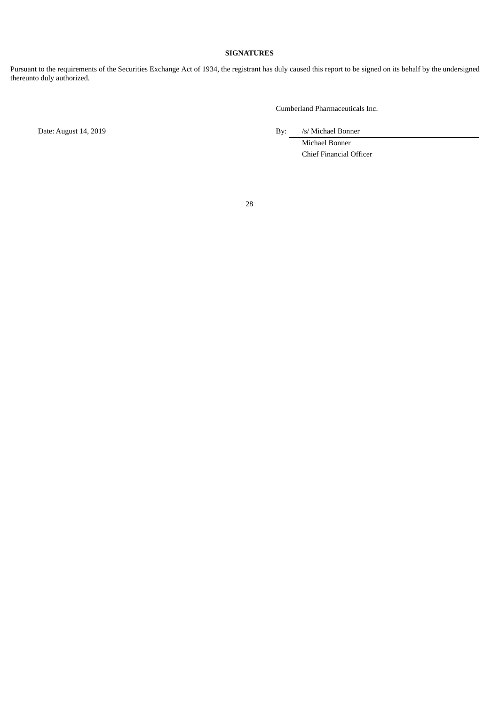# **SIGNATURES**

Pursuant to the requirements of the Securities Exchange Act of 1934, the registrant has duly caused this report to be signed on its behalf by the undersigned thereunto duly authorized.

Cumberland Pharmaceuticals Inc.

Date: August 14, 2019 By: /s/ Michael Bonner

Michael Bonner Chief Financial Officer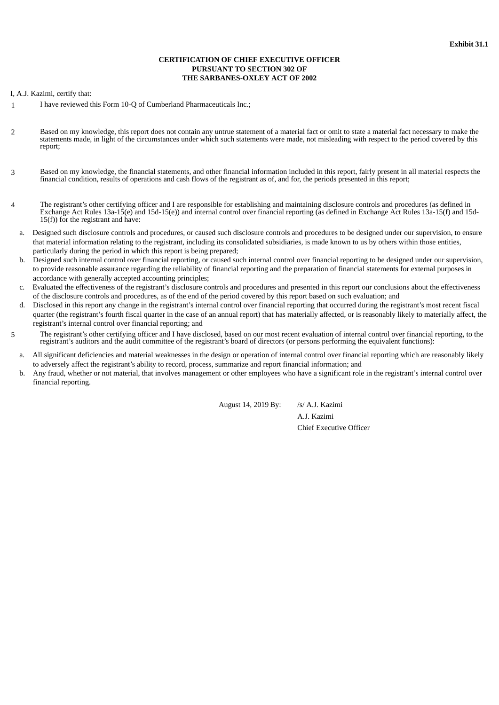## **CERTIFICATION OF CHIEF EXECUTIVE OFFICER PURSUANT TO SECTION 302 OF THE SARBANES-OXLEY ACT OF 2002**

<span id="page-30-0"></span>I, A.J. Kazimi, certify that:

- 1 I have reviewed this Form 10-Q of Cumberland Pharmaceuticals Inc.;
- 2 Based on my knowledge, this report does not contain any untrue statement of a material fact or omit to state a material fact necessary to make the statements made, in light of the circumstances under which such statements were made, not misleading with respect to the period covered by this report;
- 3 Based on my knowledge, the financial statements, and other financial information included in this report, fairly present in all material respects the financial condition, results of operations and cash flows of the registrant as of, and for, the periods presented in this report;
- 4 The registrant's other certifying officer and I are responsible for establishing and maintaining disclosure controls and procedures (as defined in Exchange Act Rules 13a-15(e) and 15d-15(e)) and internal control over financial reporting (as defined in Exchange Act Rules 13a-15(f) and 15d- $15(f)$ ) for the registrant and have:
	- Designed such disclosure controls and procedures, or caused such disclosure controls and procedures to be designed under our supervision, to ensure that material information relating to the registrant, including its consolidated subsidiaries, is made known to us by others within those entities, particularly during the period in which this report is being prepared;
	- b. Designed such internal control over financial reporting, or caused such internal control over financial reporting to be designed under our supervision, to provide reasonable assurance regarding the reliability of financial reporting and the preparation of financial statements for external purposes in accordance with generally accepted accounting principles;
	- c. Evaluated the effectiveness of the registrant's disclosure controls and procedures and presented in this report our conclusions about the effectiveness of the disclosure controls and procedures, as of the end of the period covered by this report based on such evaluation; and
	- d. Disclosed in this report any change in the registrant's internal control over financial reporting that occurred during the registrant's most recent fiscal quarter (the registrant's fourth fiscal quarter in the case of an annual report) that has materially affected, or is reasonably likely to materially affect, the registrant's internal control over financial reporting; and
- 5 The registrant's other certifying officer and I have disclosed, based on our most recent evaluation of internal control over financial reporting, to the registrant's auditors and the audit committee of the registrant's board of directors (or persons performing the equivalent functions):
	- a. All significant deficiencies and material weaknesses in the design or operation of internal control over financial reporting which are reasonably likely to adversely affect the registrant's ability to record, process, summarize and report financial information; and
	- b. Any fraud, whether or not material, that involves management or other employees who have a significant role in the registrant's internal control over financial reporting.

August 14, 2019 By: /s/ A.J. Kazimi

A.J. Kazimi Chief Executive Officer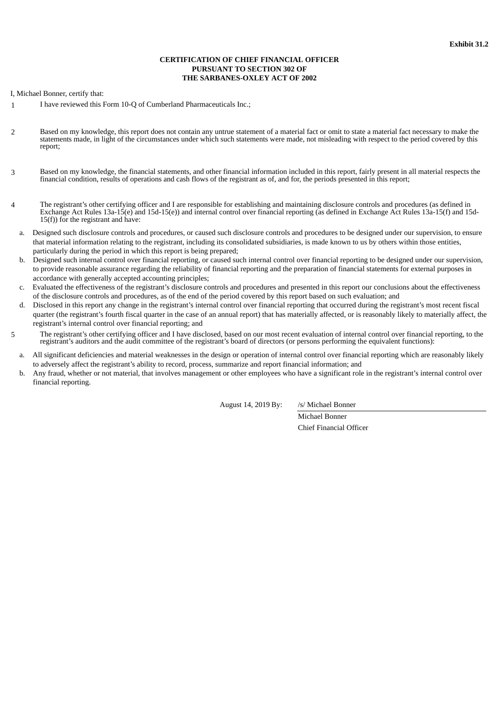# **CERTIFICATION OF CHIEF FINANCIAL OFFICER PURSUANT TO SECTION 302 OF THE SARBANES-OXLEY ACT OF 2002**

<span id="page-31-0"></span>I, Michael Bonner, certify that:

- 1 I have reviewed this Form 10-Q of Cumberland Pharmaceuticals Inc.;
- 2 Based on my knowledge, this report does not contain any untrue statement of a material fact or omit to state a material fact necessary to make the statements made, in light of the circumstances under which such statements were made, not misleading with respect to the period covered by this report;
- 3 Based on my knowledge, the financial statements, and other financial information included in this report, fairly present in all material respects the financial condition, results of operations and cash flows of the registrant as of, and for, the periods presented in this report;
- 4 The registrant's other certifying officer and I are responsible for establishing and maintaining disclosure controls and procedures (as defined in Exchange Act Rules 13a-15(e) and 15d-15(e)) and internal control over financial reporting (as defined in Exchange Act Rules 13a-15(f) and 15d- $15(f)$ ) for the registrant and have:
	- Designed such disclosure controls and procedures, or caused such disclosure controls and procedures to be designed under our supervision, to ensure that material information relating to the registrant, including its consolidated subsidiaries, is made known to us by others within those entities, particularly during the period in which this report is being prepared;
	- b. Designed such internal control over financial reporting, or caused such internal control over financial reporting to be designed under our supervision, to provide reasonable assurance regarding the reliability of financial reporting and the preparation of financial statements for external purposes in accordance with generally accepted accounting principles;
	- c. Evaluated the effectiveness of the registrant's disclosure controls and procedures and presented in this report our conclusions about the effectiveness of the disclosure controls and procedures, as of the end of the period covered by this report based on such evaluation; and
	- d. Disclosed in this report any change in the registrant's internal control over financial reporting that occurred during the registrant's most recent fiscal quarter (the registrant's fourth fiscal quarter in the case of an annual report) that has materially affected, or is reasonably likely to materially affect, the registrant's internal control over financial reporting; and
- 5 The registrant's other certifying officer and I have disclosed, based on our most recent evaluation of internal control over financial reporting, to the registrant's auditors and the audit committee of the registrant's board of directors (or persons performing the equivalent functions):
	- a. All significant deficiencies and material weaknesses in the design or operation of internal control over financial reporting which are reasonably likely to adversely affect the registrant's ability to record, process, summarize and report financial information; and
	- b. Any fraud, whether or not material, that involves management or other employees who have a significant role in the registrant's internal control over financial reporting.

August 14, 2019 By: /s/ Michael Bonner

Michael Bonner Chief Financial Officer